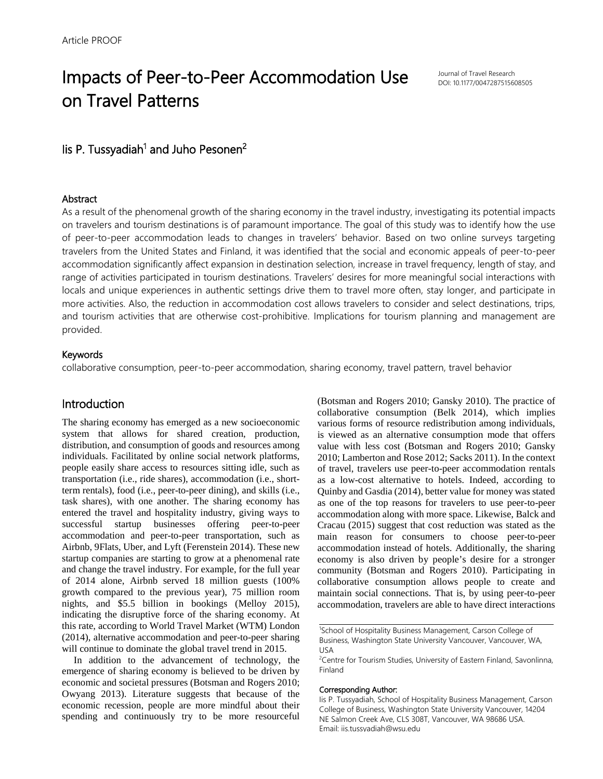# Impacts of Peer-to-Peer Accommodation Use on Travel Patterns

Journal of Travel Research DOI: 10.1177/0047287515608505

# lis P. Tussyadiah<sup>1</sup> and Juho Pesonen<sup>2</sup>

#### **Abstract**

As a result of the phenomenal growth of the sharing economy in the travel industry, investigating its potential impacts on travelers and tourism destinations is of paramount importance. The goal of this study was to identify how the use of peer-to-peer accommodation leads to changes in travelers' behavior. Based on two online surveys targeting travelers from the United States and Finland, it was identified that the social and economic appeals of peer-to-peer accommodation significantly affect expansion in destination selection, increase in travel frequency, length of stay, and range of activities participated in tourism destinations. Travelers' desires for more meaningful social interactions with locals and unique experiences in authentic settings drive them to travel more often, stay longer, and participate in more activities. Also, the reduction in accommodation cost allows travelers to consider and select destinations, trips, and tourism activities that are otherwise cost-prohibitive. Implications for tourism planning and management are provided.

#### Keywords

collaborative consumption, peer-to-peer accommodation, sharing economy, travel pattern, travel behavior

# Introduction

The sharing economy has emerged as a new socioeconomic system that allows for shared creation, production, distribution, and consumption of goods and resources among individuals. Facilitated by online social network platforms, people easily share access to resources sitting idle, such as transportation (i.e., ride shares), accommodation (i.e., shortterm rentals), food (i.e., peer-to-peer dining), and skills (i.e., task shares), with one another. The sharing economy has entered the travel and hospitality industry, giving ways to successful startup businesses offering peer-to-peer accommodation and peer-to-peer transportation, such as Airbnb, 9Flats, Uber, and Lyft (Ferenstein 2014). These new startup companies are starting to grow at a phenomenal rate and change the travel industry. For example, for the full year of 2014 alone, Airbnb served 18 million guests (100% growth compared to the previous year), 75 million room nights, and \$5.5 billion in bookings (Melloy 2015), indicating the disruptive force of the sharing economy. At this rate, according to World Travel Market (WTM) London (2014), alternative accommodation and peer-to-peer sharing will continue to dominate the global travel trend in 2015.

In addition to the advancement of technology, the emergence of sharing economy is believed to be driven by economic and societal pressures (Botsman and Rogers 2010; Owyang 2013). Literature suggests that because of the economic recession, people are more mindful about their spending and continuously try to be more resourceful (Botsman and Rogers 2010; Gansky 2010). The practice of collaborative consumption (Belk 2014), which implies various forms of resource redistribution among individuals, is viewed as an alternative consumption mode that offers value with less cost (Botsman and Rogers 2010; Gansky 2010; Lamberton and Rose 2012; Sacks 2011). In the context of travel, travelers use peer-to-peer accommodation rentals as a low-cost alternative to hotels. Indeed, according to Quinby and Gasdia (2014), better value for money was stated as one of the top reasons for travelers to use peer-to-peer accommodation along with more space. Likewise, Balck and Cracau (2015) suggest that cost reduction was stated as the main reason for consumers to choose peer-to-peer accommodation instead of hotels. Additionally, the sharing economy is also driven by people's desire for a stronger community (Botsman and Rogers 2010). Participating in collaborative consumption allows people to create and maintain social connections. That is, by using peer-to-peer accommodation, travelers are able to have direct interactions

#### Corresponding Author:

<sup>&</sup>lt;sup>1</sup>School of Hospitality Business Management, Carson College of Business, Washington State University Vancouver, Vancouver, WA, USA

<sup>&</sup>lt;sup>2</sup>Centre for Tourism Studies, University of Eastern Finland, Savonlinna, Finland

Iis P. Tussyadiah, School of Hospitality Business Management, Carson College of Business, Washington State University Vancouver, 14204 NE Salmon Creek Ave, CLS 308T, Vancouver, WA 98686 USA. Email: iis.tussyadiah@wsu.edu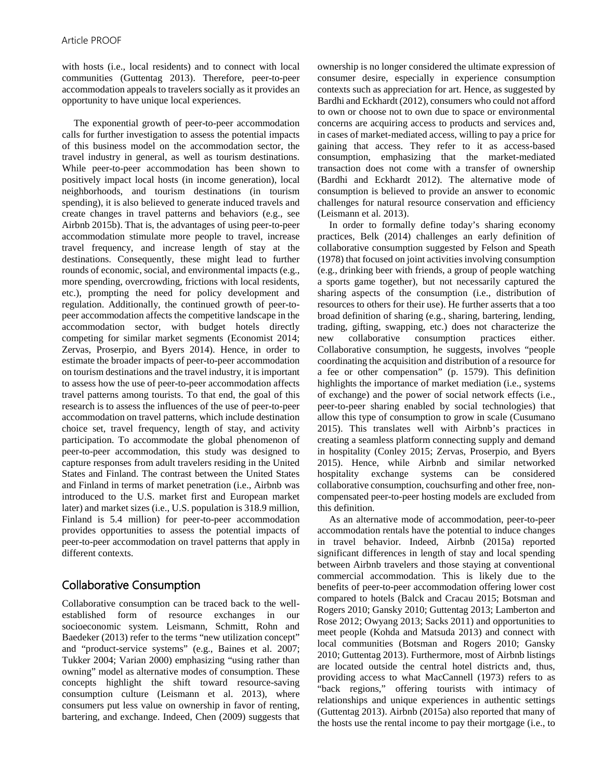with hosts (i.e., local residents) and to connect with local communities (Guttentag 2013). Therefore, peer-to-peer accommodation appeals to travelers socially as it provides an opportunity to have unique local experiences.

The exponential growth of peer-to-peer accommodation calls for further investigation to assess the potential impacts of this business model on the accommodation sector, the travel industry in general, as well as tourism destinations. While peer-to-peer accommodation has been shown to positively impact local hosts (in income generation), local neighborhoods, and tourism destinations (in tourism spending), it is also believed to generate induced travels and create changes in travel patterns and behaviors (e.g., see Airbnb 2015b). That is, the advantages of using peer-to-peer accommodation stimulate more people to travel, increase travel frequency, and increase length of stay at the destinations. Consequently, these might lead to further rounds of economic, social, and environmental impacts (e.g., more spending, overcrowding, frictions with local residents, etc.), prompting the need for policy development and regulation. Additionally, the continued growth of peer-topeer accommodation affects the competitive landscape in the accommodation sector, with budget hotels directly competing for similar market segments (Economist 2014; Zervas, Proserpio, and Byers 2014). Hence, in order to estimate the broader impacts of peer-to-peer accommodation on tourism destinations and the travel industry, it is important to assess how the use of peer-to-peer accommodation affects travel patterns among tourists. To that end, the goal of this research is to assess the influences of the use of peer-to-peer accommodation on travel patterns, which include destination choice set, travel frequency, length of stay, and activity participation. To accommodate the global phenomenon of peer-to-peer accommodation, this study was designed to capture responses from adult travelers residing in the United States and Finland. The contrast between the United States and Finland in terms of market penetration (i.e., Airbnb was introduced to the U.S. market first and European market later) and market sizes (i.e., U.S. population is 318.9 million, Finland is 5.4 million) for peer-to-peer accommodation provides opportunities to assess the potential impacts of peer-to-peer accommodation on travel patterns that apply in different contexts.

# Collaborative Consumption

Collaborative consumption can be traced back to the wellestablished form of resource exchanges in our socioeconomic system. Leismann, Schmitt, Rohn and Baedeker (2013) refer to the terms "new utilization concept" and "product-service systems" (e.g., Baines et al. 2007; Tukker 2004; Varian 2000) emphasizing "using rather than owning" model as alternative modes of consumption. These concepts highlight the shift toward resource-saving consumption culture (Leismann et al. 2013), where consumers put less value on ownership in favor of renting, bartering, and exchange. Indeed, Chen (2009) suggests that ownership is no longer considered the ultimate expression of consumer desire, especially in experience consumption contexts such as appreciation for art. Hence, as suggested by Bardhi and Eckhardt (2012), consumers who could not afford to own or choose not to own due to space or environmental concerns are acquiring access to products and services and, in cases of market-mediated access, willing to pay a price for gaining that access. They refer to it as access-based consumption, emphasizing that the market-mediated transaction does not come with a transfer of ownership (Bardhi and Eckhardt 2012). The alternative mode of consumption is believed to provide an answer to economic challenges for natural resource conservation and efficiency (Leismann et al. 2013).

In order to formally define today's sharing economy practices, Belk (2014) challenges an early definition of collaborative consumption suggested by Felson and Speath (1978) that focused on joint activities involving consumption (e.g., drinking beer with friends, a group of people watching a sports game together), but not necessarily captured the sharing aspects of the consumption (i.e., distribution of resources to others for their use). He further asserts that a too broad definition of sharing (e.g., sharing, bartering, lending, trading, gifting, swapping, etc.) does not characterize the new collaborative consumption practices either. Collaborative consumption, he suggests, involves "people coordinating the acquisition and distribution of a resource for a fee or other compensation" (p. 1579). This definition highlights the importance of market mediation (i.e., systems of exchange) and the power of social network effects (i.e., peer-to-peer sharing enabled by social technologies) that allow this type of consumption to grow in scale (Cusumano 2015). This translates well with Airbnb's practices in creating a seamless platform connecting supply and demand in hospitality (Conley 2015; Zervas, Proserpio, and Byers 2015). Hence, while Airbnb and similar networked hospitality exchange systems can be considered collaborative consumption, couchsurfing and other free, noncompensated peer-to-peer hosting models are excluded from this definition.

As an alternative mode of accommodation, peer-to-peer accommodation rentals have the potential to induce changes in travel behavior. Indeed, Airbnb (2015a) reported significant differences in length of stay and local spending between Airbnb travelers and those staying at conventional commercial accommodation. This is likely due to the benefits of peer-to-peer accommodation offering lower cost compared to hotels (Balck and Cracau 2015; Botsman and Rogers 2010; Gansky 2010; Guttentag 2013; Lamberton and Rose 2012; Owyang 2013; Sacks 2011) and opportunities to meet people (Kohda and Matsuda 2013) and connect with local communities (Botsman and Rogers 2010; Gansky 2010; Guttentag 2013). Furthermore, most of Airbnb listings are located outside the central hotel districts and, thus, providing access to what MacCannell (1973) refers to as "back regions," offering tourists with intimacy of relationships and unique experiences in authentic settings (Guttentag 2013). Airbnb (2015a) also reported that many of the hosts use the rental income to pay their mortgage (i.e., to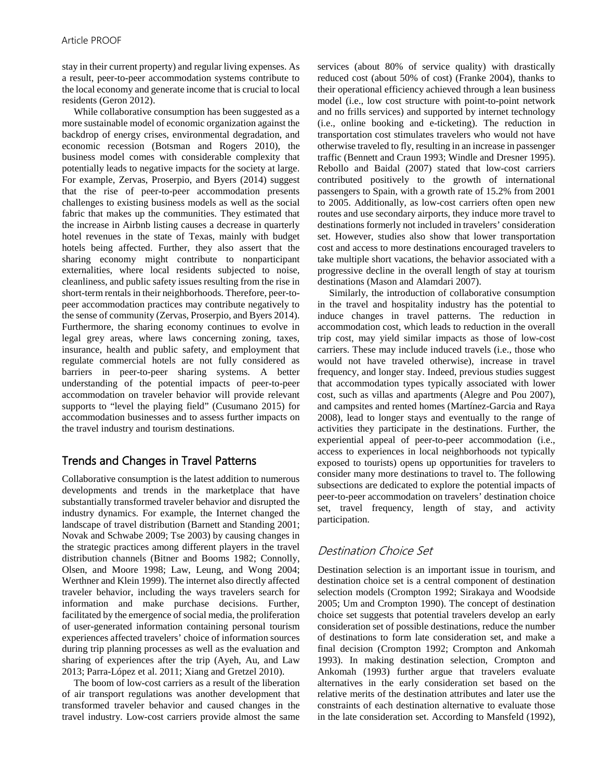stay in their current property) and regular living expenses. As a result, peer-to-peer accommodation systems contribute to the local economy and generate income that is crucial to local residents (Geron 2012).

While collaborative consumption has been suggested as a more sustainable model of economic organization against the backdrop of energy crises, environmental degradation, and economic recession (Botsman and Rogers 2010), the business model comes with considerable complexity that potentially leads to negative impacts for the society at large. For example, Zervas, Proserpio, and Byers (2014) suggest that the rise of peer-to-peer accommodation presents challenges to existing business models as well as the social fabric that makes up the communities. They estimated that the increase in Airbnb listing causes a decrease in quarterly hotel revenues in the state of Texas, mainly with budget hotels being affected. Further, they also assert that the sharing economy might contribute to nonparticipant externalities, where local residents subjected to noise, cleanliness, and public safety issues resulting from the rise in short-term rentals in their neighborhoods. Therefore, peer-topeer accommodation practices may contribute negatively to the sense of community (Zervas, Proserpio, and Byers 2014). Furthermore, the sharing economy continues to evolve in legal grey areas, where laws concerning zoning, taxes, insurance, health and public safety, and employment that regulate commercial hotels are not fully considered as barriers in peer-to-peer sharing systems. A better understanding of the potential impacts of peer-to-peer accommodation on traveler behavior will provide relevant supports to "level the playing field" (Cusumano 2015) for accommodation businesses and to assess further impacts on the travel industry and tourism destinations.

# Trends and Changes in Travel Patterns

Collaborative consumption is the latest addition to numerous developments and trends in the marketplace that have substantially transformed traveler behavior and disrupted the industry dynamics. For example, the Internet changed the landscape of travel distribution (Barnett and Standing 2001; Novak and Schwabe 2009; Tse 2003) by causing changes in the strategic practices among different players in the travel distribution channels (Bitner and Booms 1982; Connolly, Olsen, and Moore 1998; Law, Leung, and Wong 2004; Werthner and Klein 1999). The internet also directly affected traveler behavior, including the ways travelers search for information and make purchase decisions. Further, facilitated by the emergence of social media, the proliferation of user-generated information containing personal tourism experiences affected travelers' choice of information sources during trip planning processes as well as the evaluation and sharing of experiences after the trip (Ayeh, Au, and Law 2013; Parra-López et al. 2011; Xiang and Gretzel 2010).

The boom of low-cost carriers as a result of the liberation of air transport regulations was another development that transformed traveler behavior and caused changes in the travel industry. Low-cost carriers provide almost the same

services (about 80% of service quality) with drastically reduced cost (about 50% of cost) (Franke 2004), thanks to their operational efficiency achieved through a lean business model (i.e., low cost structure with point-to-point network and no frills services) and supported by internet technology (i.e., online booking and e-ticketing). The reduction in transportation cost stimulates travelers who would not have otherwise traveled to fly, resulting in an increase in passenger traffic (Bennett and Craun 1993; Windle and Dresner 1995). Rebollo and Baidal (2007) stated that low-cost carriers contributed positively to the growth of international passengers to Spain, with a growth rate of 15.2% from 2001 to 2005. Additionally, as low-cost carriers often open new routes and use secondary airports, they induce more travel to destinations formerly not included in travelers' consideration set. However, studies also show that lower transportation cost and access to more destinations encouraged travelers to take multiple short vacations, the behavior associated with a progressive decline in the overall length of stay at tourism destinations (Mason and Alamdari 2007).

Similarly, the introduction of collaborative consumption in the travel and hospitality industry has the potential to induce changes in travel patterns. The reduction in accommodation cost, which leads to reduction in the overall trip cost, may yield similar impacts as those of low-cost carriers. These may include induced travels (i.e., those who would not have traveled otherwise), increase in travel frequency, and longer stay. Indeed, previous studies suggest that accommodation types typically associated with lower cost, such as villas and apartments (Alegre and Pou 2007), and campsites and rented homes (Martínez-Garcia and Raya 2008), lead to longer stays and eventually to the range of activities they participate in the destinations. Further, the experiential appeal of peer-to-peer accommodation (i.e., access to experiences in local neighborhoods not typically exposed to tourists) opens up opportunities for travelers to consider many more destinations to travel to. The following subsections are dedicated to explore the potential impacts of peer-to-peer accommodation on travelers' destination choice set, travel frequency, length of stay, and activity participation.

# Destination Choice Set

Destination selection is an important issue in tourism, and destination choice set is a central component of destination selection models (Crompton 1992; Sirakaya and Woodside 2005; Um and Crompton 1990). The concept of destination choice set suggests that potential travelers develop an early consideration set of possible destinations, reduce the number of destinations to form late consideration set, and make a final decision (Crompton 1992; Crompton and Ankomah 1993). In making destination selection, Crompton and Ankomah (1993) further argue that travelers evaluate alternatives in the early consideration set based on the relative merits of the destination attributes and later use the constraints of each destination alternative to evaluate those in the late consideration set. According to Mansfeld (1992),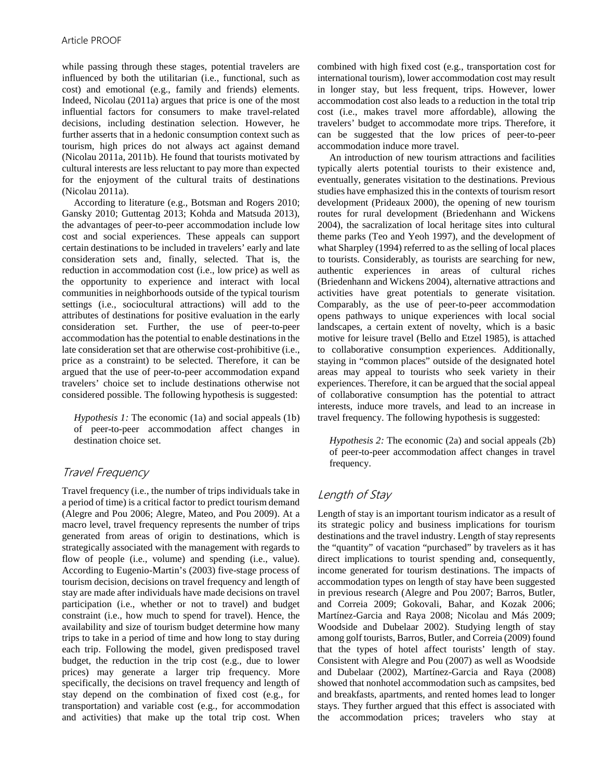while passing through these stages, potential travelers are influenced by both the utilitarian (i.e., functional, such as cost) and emotional (e.g., family and friends) elements. Indeed, Nicolau (2011a) argues that price is one of the most influential factors for consumers to make travel-related decisions, including destination selection. However, he further asserts that in a hedonic consumption context such as tourism, high prices do not always act against demand (Nicolau 2011a, 2011b). He found that tourists motivated by cultural interests are less reluctant to pay more than expected for the enjoyment of the cultural traits of destinations (Nicolau 2011a).

According to literature (e.g., Botsman and Rogers 2010; Gansky 2010; Guttentag 2013; Kohda and Matsuda 2013), the advantages of peer-to-peer accommodation include low cost and social experiences. These appeals can support certain destinations to be included in travelers' early and late consideration sets and, finally, selected. That is, the reduction in accommodation cost (i.e., low price) as well as the opportunity to experience and interact with local communities in neighborhoods outside of the typical tourism settings (i.e., sociocultural attractions) will add to the attributes of destinations for positive evaluation in the early consideration set. Further, the use of peer-to-peer accommodation has the potential to enable destinations in the late consideration set that are otherwise cost-prohibitive (i.e., price as a constraint) to be selected. Therefore, it can be argued that the use of peer-to-peer accommodation expand travelers' choice set to include destinations otherwise not considered possible. The following hypothesis is suggested:

*Hypothesis 1:* The economic (1a) and social appeals (1b) of peer-to-peer accommodation affect changes in destination choice set.

## Travel Frequency

Travel frequency (i.e., the number of trips individuals take in a period of time) is a critical factor to predict tourism demand (Alegre and Pou 2006; Alegre, Mateo, and Pou 2009). At a macro level, travel frequency represents the number of trips generated from areas of origin to destinations, which is strategically associated with the management with regards to flow of people (i.e., volume) and spending (i.e., value). According to Eugenio-Martin's (2003) five-stage process of tourism decision, decisions on travel frequency and length of stay are made after individuals have made decisions on travel participation (i.e., whether or not to travel) and budget constraint (i.e., how much to spend for travel). Hence, the availability and size of tourism budget determine how many trips to take in a period of time and how long to stay during each trip. Following the model, given predisposed travel budget, the reduction in the trip cost (e.g., due to lower prices) may generate a larger trip frequency. More specifically, the decisions on travel frequency and length of stay depend on the combination of fixed cost (e.g., for transportation) and variable cost (e.g., for accommodation and activities) that make up the total trip cost. When combined with high fixed cost (e.g., transportation cost for international tourism), lower accommodation cost may result in longer stay, but less frequent, trips. However, lower accommodation cost also leads to a reduction in the total trip cost (i.e., makes travel more affordable), allowing the travelers' budget to accommodate more trips. Therefore, it can be suggested that the low prices of peer-to-peer accommodation induce more travel.

An introduction of new tourism attractions and facilities typically alerts potential tourists to their existence and, eventually, generates visitation to the destinations. Previous studies have emphasized this in the contexts of tourism resort development (Prideaux 2000), the opening of new tourism routes for rural development (Briedenhann and Wickens 2004), the sacralization of local heritage sites into cultural theme parks (Teo and Yeoh 1997), and the development of what Sharpley (1994) referred to as the selling of local places to tourists. Considerably, as tourists are searching for new, authentic experiences in areas of cultural riches (Briedenhann and Wickens 2004), alternative attractions and activities have great potentials to generate visitation. Comparably, as the use of peer-to-peer accommodation opens pathways to unique experiences with local social landscapes, a certain extent of novelty, which is a basic motive for leisure travel (Bello and Etzel 1985), is attached to collaborative consumption experiences. Additionally, staying in "common places" outside of the designated hotel areas may appeal to tourists who seek variety in their experiences. Therefore, it can be argued that the social appeal of collaborative consumption has the potential to attract interests, induce more travels, and lead to an increase in travel frequency. The following hypothesis is suggested:

*Hypothesis 2:* The economic (2a) and social appeals (2b) of peer-to-peer accommodation affect changes in travel frequency.

# Length of Stay

Length of stay is an important tourism indicator as a result of its strategic policy and business implications for tourism destinations and the travel industry. Length of stay represents the "quantity" of vacation "purchased" by travelers as it has direct implications to tourist spending and, consequently, income generated for tourism destinations. The impacts of accommodation types on length of stay have been suggested in previous research (Alegre and Pou 2007; Barros, Butler, and Correia 2009; Gokovali, Bahar, and Kozak 2006; Martínez-Garcia and Raya 2008; Nicolau and Más 2009; Woodside and Dubelaar 2002). Studying length of stay among golf tourists, Barros, Butler, and Correia (2009) found that the types of hotel affect tourists' length of stay. Consistent with Alegre and Pou (2007) as well as Woodside and Dubelaar (2002), Martínez-Garcia and Raya (2008) showed that nonhotel accommodation such as campsites, bed and breakfasts, apartments, and rented homes lead to longer stays. They further argued that this effect is associated with the accommodation prices; travelers who stay at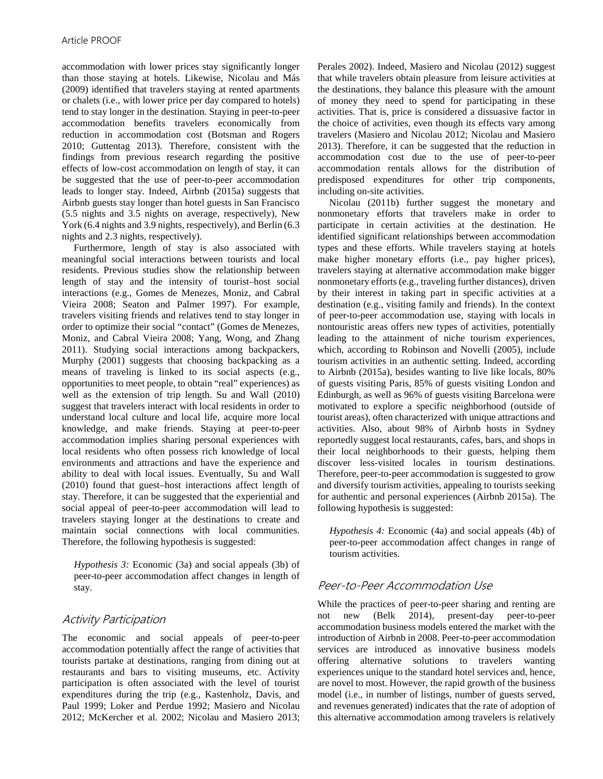accommodation with lower prices stay significantly longer than those staying at hotels. Likewise, Nicolau and Más (2009) identified that travelers staying at rented apartments or chalets (i.e., with lower price per day compared to hotels) tend to stay longer in the destination. Staying in peer-to-peer accommodation benefits travelers economically from reduction in accommodation cost (Botsman and Rogers 2010; Guttentag 2013). Therefore, consistent with the findings from previous research regarding the positive effects of low-cost accommodation on length of stay, it can be suggested that the use of peer-to-peer accommodation leads to longer stay. Indeed, Airbnb (2015a) suggests that Airbnb guests stay longer than hotel guests in San Francisco (5.5 nights and 3.5 nights on average, respectively), New York (6.4 nights and 3.9 nights, respectively), and Berlin (6.3) nights and 2.3 nights, respectively).

Furthermore, length of stay is also associated with meaningful social interactions between tourists and local residents. Previous studies show the relationship between length of stay and the intensity of tourist–host social interactions (e.g., Gomes de Menezes, Moniz, and Cabral Vieira 2008; Seaton and Palmer 1997). For example, travelers visiting friends and relatives tend to stay longer in order to optimize their social "contact" (Gomes de Menezes, Moniz, and Cabral Vieira 2008; Yang, Wong, and Zhang 2011). Studying social interactions among backpackers, Murphy (2001) suggests that choosing backpacking as a means of traveling is linked to its social aspects (e.g., opportunities to meet people, to obtain "real" experiences) as well as the extension of trip length. Su and Wall (2010) suggest that travelers interact with local residents in order to understand local culture and local life, acquire more local knowledge, and make friends. Staying at peer-to-peer accommodation implies sharing personal experiences with local residents who often possess rich knowledge of local environments and attractions and have the experience and ability to deal with local issues. Eventually, Su and Wall (2010) found that guest–host interactions affect length of stay. Therefore, it can be suggested that the experiential and social appeal of peer-to-peer accommodation will lead to travelers staying longer at the destinations to create and maintain social connections with local communities. Therefore, the following hypothesis is suggested:

*Hypothesis 3:* Economic (3a) and social appeals (3b) of peer-to-peer accommodation affect changes in length of stay.

## Activity Participation

The economic and social appeals of peer-to-peer accommodation potentially affect the range of activities that tourists partake at destinations, ranging from dining out at restaurants and bars to visiting museums, etc. Activity participation is often associated with the level of tourist expenditures during the trip (e.g., Kastenholz, Davis, and Paul 1999; Loker and Perdue 1992; Masiero and Nicolau 2012; McKercher et al. 2002; Nicolau and Masiero 2013; Perales 2002). Indeed, Masiero and Nicolau (2012) suggest that while travelers obtain pleasure from leisure activities at the destinations, they balance this pleasure with the amount of money they need to spend for participating in these activities. That is, price is considered a dissuasive factor in the choice of activities, even though its effects vary among travelers (Masiero and Nicolau 2012; Nicolau and Masiero 2013). Therefore, it can be suggested that the reduction in accommodation cost due to the use of peer-to-peer accommodation rentals allows for the distribution of predisposed expenditures for other trip components, including on-site activities.

Nicolau (2011b) further suggest the monetary and nonmonetary efforts that travelers make in order to participate in certain activities at the destination. He identified significant relationships between accommodation types and these efforts. While travelers staying at hotels make higher monetary efforts (i.e., pay higher prices), travelers staying at alternative accommodation make bigger nonmonetary efforts (e.g., traveling further distances), driven by their interest in taking part in specific activities at a destination (e.g., visiting family and friends). In the context of peer-to-peer accommodation use, staying with locals in nontouristic areas offers new types of activities, potentially leading to the attainment of niche tourism experiences, which, according to Robinson and Novelli (2005), include tourism activities in an authentic setting. Indeed, according to Airbnb (2015a), besides wanting to live like locals, 80% of guests visiting Paris, 85% of guests visiting London and Edinburgh, as well as 96% of guests visiting Barcelona were motivated to explore a specific neighborhood (outside of tourist areas), often characterized with unique attractions and activities. Also, about 98% of Airbnb hosts in Sydney reportedly suggest local restaurants, cafes, bars, and shops in their local neighborhoods to their guests, helping them discover less-visited locales in tourism destinations. Therefore, peer-to-peer accommodation is suggested to grow and diversify tourism activities, appealing to tourists seeking for authentic and personal experiences (Airbnb 2015a). The following hypothesis is suggested:

*Hypothesis 4:* Economic (4a) and social appeals (4b) of peer-to-peer accommodation affect changes in range of tourism activities.

## Peer-to-Peer Accommodation Use

While the practices of peer-to-peer sharing and renting are not new (Belk 2014), present-day peer-to-peer accommodation business models entered the market with the introduction of Airbnb in 2008. Peer-to-peer accommodation services are introduced as innovative business models offering alternative solutions to travelers wanting experiences unique to the standard hotel services and, hence, are novel to most. However, the rapid growth of the business model (i.e., in number of listings, number of guests served, and revenues generated) indicates that the rate of adoption of this alternative accommodation among travelers is relatively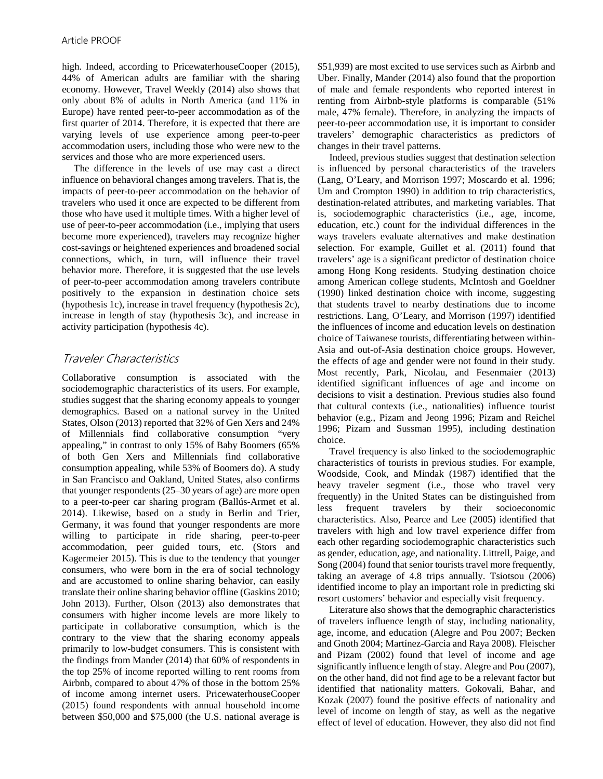high. Indeed, according to PricewaterhouseCooper (2015), 44% of American adults are familiar with the sharing economy. However, Travel Weekly (2014) also shows that only about 8% of adults in North America (and 11% in Europe) have rented peer-to-peer accommodation as of the first quarter of 2014. Therefore, it is expected that there are varying levels of use experience among peer-to-peer accommodation users, including those who were new to the services and those who are more experienced users.

The difference in the levels of use may cast a direct influence on behavioral changes among travelers. That is, the impacts of peer-to-peer accommodation on the behavior of travelers who used it once are expected to be different from those who have used it multiple times. With a higher level of use of peer-to-peer accommodation (i.e., implying that users become more experienced), travelers may recognize higher cost-savings or heightened experiences and broadened social connections, which, in turn, will influence their travel behavior more. Therefore, it is suggested that the use levels of peer-to-peer accommodation among travelers contribute positively to the expansion in destination choice sets (hypothesis 1c), increase in travel frequency (hypothesis 2c), increase in length of stay (hypothesis 3c), and increase in activity participation (hypothesis 4c).

# Traveler Characteristics

Collaborative consumption is associated with the sociodemographic characteristics of its users. For example, studies suggest that the sharing economy appeals to younger demographics. Based on a national survey in the United States, Olson (2013) reported that 32% of Gen Xers and 24% of Millennials find collaborative consumption "very appealing," in contrast to only 15% of Baby Boomers (65% of both Gen Xers and Millennials find collaborative consumption appealing, while 53% of Boomers do). A study in San Francisco and Oakland, United States, also confirms that younger respondents (25–30 years of age) are more open to a peer-to-peer car sharing program (Ballús-Armet et al. 2014). Likewise, based on a study in Berlin and Trier, Germany, it was found that younger respondents are more willing to participate in ride sharing, peer-to-peer accommodation, peer guided tours, etc. (Stors and Kagermeier 2015). This is due to the tendency that younger consumers, who were born in the era of social technology and are accustomed to online sharing behavior, can easily translate their online sharing behavior offline (Gaskins 2010; John 2013). Further, Olson (2013) also demonstrates that consumers with higher income levels are more likely to participate in collaborative consumption, which is the contrary to the view that the sharing economy appeals primarily to low-budget consumers. This is consistent with the findings from Mander (2014) that 60% of respondents in the top 25% of income reported willing to rent rooms from Airbnb, compared to about 47% of those in the bottom 25% of income among internet users. PricewaterhouseCooper (2015) found respondents with annual household income between \$50,000 and \$75,000 (the U.S. national average is

\$51,939) are most excited to use services such as Airbnb and Uber. Finally, Mander (2014) also found that the proportion of male and female respondents who reported interest in renting from Airbnb-style platforms is comparable (51% male, 47% female). Therefore, in analyzing the impacts of peer-to-peer accommodation use, it is important to consider travelers' demographic characteristics as predictors of changes in their travel patterns.

Indeed, previous studies suggest that destination selection is influenced by personal characteristics of the travelers (Lang, O'Leary, and Morrison 1997; Moscardo et al. 1996; Um and Crompton 1990) in addition to trip characteristics, destination-related attributes, and marketing variables. That is, sociodemographic characteristics (i.e., age, income, education, etc.) count for the individual differences in the ways travelers evaluate alternatives and make destination selection. For example, Guillet et al. (2011) found that travelers' age is a significant predictor of destination choice among Hong Kong residents. Studying destination choice among American college students, McIntosh and Goeldner (1990) linked destination choice with income, suggesting that students travel to nearby destinations due to income restrictions. Lang, O'Leary, and Morrison (1997) identified the influences of income and education levels on destination choice of Taiwanese tourists, differentiating between within-Asia and out-of-Asia destination choice groups. However, the effects of age and gender were not found in their study. Most recently, Park, Nicolau, and Fesenmaier (2013) identified significant influences of age and income on decisions to visit a destination. Previous studies also found that cultural contexts (i.e., nationalities) influence tourist behavior (e.g., Pizam and Jeong 1996; Pizam and Reichel 1996; Pizam and Sussman 1995), including destination choice.

Travel frequency is also linked to the sociodemographic characteristics of tourists in previous studies. For example, Woodside, Cook, and Mindak (1987) identified that the heavy traveler segment (i.e., those who travel very frequently) in the United States can be distinguished from less frequent travelers by their socioeconomic characteristics. Also, Pearce and Lee (2005) identified that travelers with high and low travel experience differ from each other regarding sociodemographic characteristics such as gender, education, age, and nationality. Littrell, Paige, and Song (2004) found that senior tourists travel more frequently, taking an average of 4.8 trips annually. Tsiotsou (2006) identified income to play an important role in predicting ski resort customers' behavior and especially visit frequency.

Literature also shows that the demographic characteristics of travelers influence length of stay, including nationality, age, income, and education (Alegre and Pou 2007; Becken and Gnoth 2004; Martínez-Garcia and Raya 2008). Fleischer and Pizam (2002) found that level of income and age significantly influence length of stay. Alegre and Pou (2007), on the other hand, did not find age to be a relevant factor but identified that nationality matters. Gokovali, Bahar, and Kozak (2007) found the positive effects of nationality and level of income on length of stay, as well as the negative effect of level of education. However, they also did not find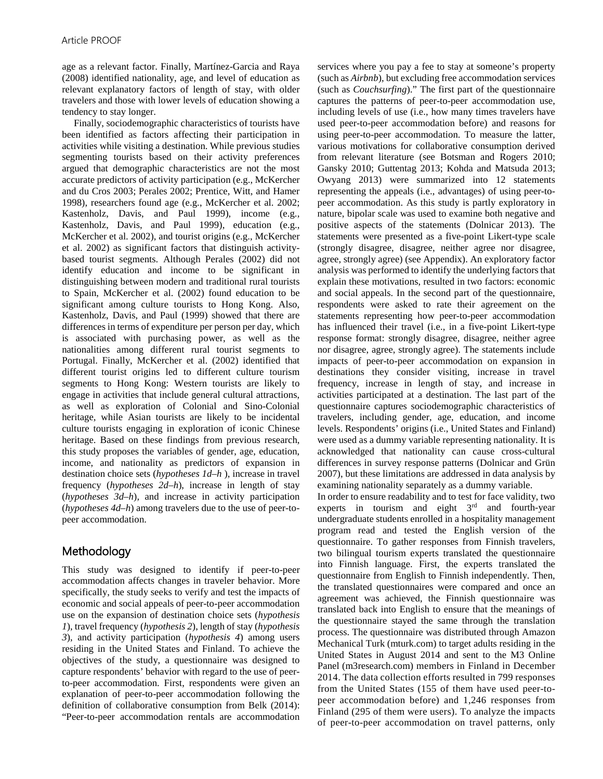age as a relevant factor. Finally, Martínez-Garcia and Raya (2008) identified nationality, age, and level of education as relevant explanatory factors of length of stay, with older travelers and those with lower levels of education showing a tendency to stay longer.

Finally, sociodemographic characteristics of tourists have been identified as factors affecting their participation in activities while visiting a destination. While previous studies segmenting tourists based on their activity preferences argued that demographic characteristics are not the most accurate predictors of activity participation (e.g., McKercher and du Cros 2003; Perales 2002; Prentice, Witt, and Hamer 1998), researchers found age (e.g., McKercher et al. 2002; Kastenholz, Davis, and Paul 1999), income (e.g., Kastenholz, Davis, and Paul 1999), education (e.g., McKercher et al. 2002), and tourist origins (e.g., McKercher et al. 2002) as significant factors that distinguish activitybased tourist segments. Although Perales (2002) did not identify education and income to be significant in distinguishing between modern and traditional rural tourists to Spain, McKercher et al. (2002) found education to be significant among culture tourists to Hong Kong. Also, Kastenholz, Davis, and Paul (1999) showed that there are differences in terms of expenditure per person per day, which is associated with purchasing power, as well as the nationalities among different rural tourist segments to Portugal. Finally, McKercher et al. (2002) identified that different tourist origins led to different culture tourism segments to Hong Kong: Western tourists are likely to engage in activities that include general cultural attractions, as well as exploration of Colonial and Sino-Colonial heritage, while Asian tourists are likely to be incidental culture tourists engaging in exploration of iconic Chinese heritage. Based on these findings from previous research, this study proposes the variables of gender, age, education, income, and nationality as predictors of expansion in destination choice sets (*hypotheses 1d–h* ), increase in travel frequency (*hypotheses 2d–h*), increase in length of stay (*hypotheses 3d–h*), and increase in activity participation (*hypotheses 4d–h*) among travelers due to the use of peer-topeer accommodation.

# Methodology

This study was designed to identify if peer-to-peer accommodation affects changes in traveler behavior. More specifically, the study seeks to verify and test the impacts of economic and social appeals of peer-to-peer accommodation use on the expansion of destination choice sets (*hypothesis 1*), travel frequency (*hypothesis 2*), length of stay (*hypothesis 3*), and activity participation (*hypothesis 4*) among users residing in the United States and Finland. To achieve the objectives of the study, a questionnaire was designed to capture respondents' behavior with regard to the use of peerto-peer accommodation. First, respondents were given an explanation of peer-to-peer accommodation following the definition of collaborative consumption from Belk (2014): "Peer-to-peer accommodation rentals are accommodation services where you pay a fee to stay at someone's property (such as *Airbnb*), but excluding free accommodation services (such as *Couchsurfing*)." The first part of the questionnaire captures the patterns of peer-to-peer accommodation use, including levels of use (i.e., how many times travelers have used peer-to-peer accommodation before) and reasons for using peer-to-peer accommodation. To measure the latter, various motivations for collaborative consumption derived from relevant literature (see Botsman and Rogers 2010; Gansky 2010; Guttentag 2013; Kohda and Matsuda 2013; Owyang 2013) were summarized into 12 statements representing the appeals (i.e., advantages) of using peer-topeer accommodation. As this study is partly exploratory in nature, bipolar scale was used to examine both negative and positive aspects of the statements (Dolnicar 2013). The statements were presented as a five-point Likert-type scale (strongly disagree, disagree, neither agree nor disagree, agree, strongly agree) (see Appendix). An exploratory factor analysis was performed to identify the underlying factors that explain these motivations, resulted in two factors: economic and social appeals. In the second part of the questionnaire, respondents were asked to rate their agreement on the statements representing how peer-to-peer accommodation has influenced their travel (i.e., in a five-point Likert-type response format: strongly disagree, disagree, neither agree nor disagree, agree, strongly agree). The statements include impacts of peer-to-peer accommodation on expansion in destinations they consider visiting, increase in travel frequency, increase in length of stay, and increase in activities participated at a destination. The last part of the questionnaire captures sociodemographic characteristics of travelers, including gender, age, education, and income levels. Respondents' origins (i.e., United States and Finland) were used as a dummy variable representing nationality. It is acknowledged that nationality can cause cross-cultural differences in survey response patterns (Dolnicar and Grün 2007), but these limitations are addressed in data analysis by examining nationality separately as a dummy variable.

In order to ensure readability and to test for face validity, two experts in tourism and eight  $3<sup>rd</sup>$  and fourth-year undergraduate students enrolled in a hospitality management program read and tested the English version of the questionnaire. To gather responses from Finnish travelers, two bilingual tourism experts translated the questionnaire into Finnish language. First, the experts translated the questionnaire from English to Finnish independently. Then, the translated questionnaires were compared and once an agreement was achieved, the Finnish questionnaire was translated back into English to ensure that the meanings of the questionnaire stayed the same through the translation process. The questionnaire was distributed through Amazon Mechanical Turk (mturk.com) to target adults residing in the United States in August 2014 and sent to the M3 Online Panel (m3research.com) members in Finland in December 2014. The data collection efforts resulted in 799 responses from the United States (155 of them have used peer-topeer accommodation before) and 1,246 responses from Finland (295 of them were users). To analyze the impacts of peer-to-peer accommodation on travel patterns, only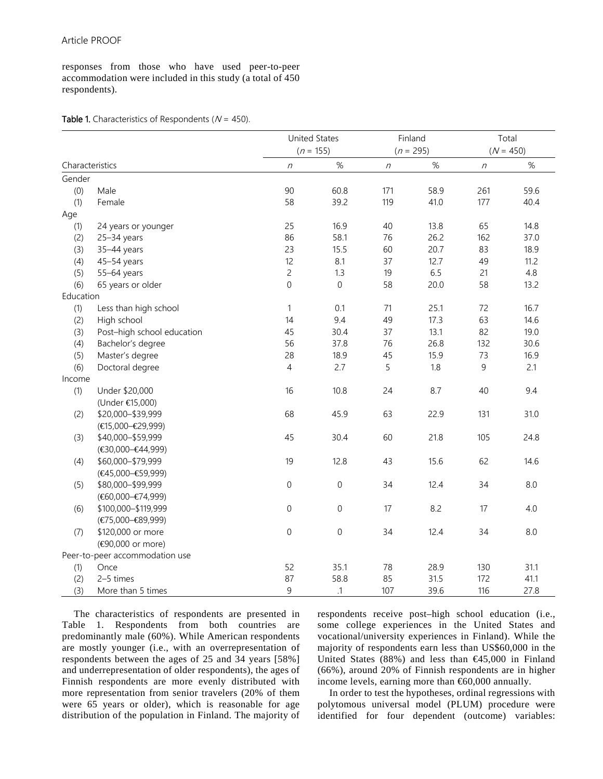responses from those who have used peer-to-peer accommodation were included in this study (a total of 450 respondents).

#### Table 1. Characteristics of Respondents ( $N = 450$ ).

|           |                                                        |                     | <b>United States</b><br>Finland |                  | Total       |             |      |  |
|-----------|--------------------------------------------------------|---------------------|---------------------------------|------------------|-------------|-------------|------|--|
|           |                                                        |                     | $(n = 155)$                     |                  | $(n = 295)$ | $(N = 450)$ |      |  |
|           | Characteristics                                        | $\eta$              | $\%$                            | $\boldsymbol{n}$ | $\%$        | $\eta$      | $\%$ |  |
| Gender    |                                                        |                     |                                 |                  |             |             |      |  |
| (0)       | Male                                                   | 90                  | 60.8                            | 171              | 58.9        | 261         | 59.6 |  |
| (1)       | Female                                                 | 58                  | 39.2                            | 119              | 41.0        | 177         | 40.4 |  |
| Age       |                                                        |                     |                                 |                  |             |             |      |  |
| (1)       | 24 years or younger                                    | 25                  | 16.9                            | 40               | 13.8        | 65          | 14.8 |  |
| (2)       | 25-34 years                                            | 86                  | 58.1                            | 76               | 26.2        | 162         | 37.0 |  |
| (3)       | 35-44 years                                            | 23                  | 15.5                            | 60               | 20.7        | 83          | 18.9 |  |
| (4)       | 45-54 years                                            | 12                  | 8.1                             | 37               | 12.7        | 49          | 11.2 |  |
| (5)       | 55-64 years                                            | $\overline{c}$      | 1.3                             | 19               | 6.5         | 21          | 4.8  |  |
| (6)       | 65 years or older                                      | $\mathsf{O}\xspace$ | $\mathbf 0$                     | 58               | 20.0        | 58          | 13.2 |  |
| Education |                                                        |                     |                                 |                  |             |             |      |  |
| (1)       | Less than high school                                  | $\mathbf{1}$        | 0.1                             | 71               | 25.1        | 72          | 16.7 |  |
| (2)       | High school                                            | 14                  | 9.4                             | 49               | 17.3        | 63          | 14.6 |  |
| (3)       | Post-high school education                             | 45                  | 30.4                            | 37               | 13.1        | 82          | 19.0 |  |
| (4)       | Bachelor's degree                                      | 56                  | 37.8                            | 76               | 26.8        | 132         | 30.6 |  |
| (5)       | Master's degree                                        | 28                  | 18.9                            | 45               | 15.9        | 73          | 16.9 |  |
| (6)       | Doctoral degree                                        | 4                   | 2.7                             | 5                | 1.8         | 9           | 2.1  |  |
| Income    |                                                        |                     |                                 |                  |             |             |      |  |
| (1)       | Under \$20,000                                         | 16                  | 10.8                            | 24               | 8.7         | 40          | 9.4  |  |
|           | (Under €15,000)                                        |                     |                                 |                  |             |             |      |  |
| (2)       | \$20,000-\$39,999                                      | 68                  | 45.9                            | 63               | 22.9        | 131         | 31.0 |  |
|           | (€15,000-€29,999)                                      |                     |                                 |                  |             |             |      |  |
| (3)       | \$40,000-\$59,999                                      | 45                  | 30.4                            | 60               | 21.8        | 105         | 24.8 |  |
|           | (€30,000-€44,999)                                      |                     |                                 |                  |             |             |      |  |
| (4)       | \$60,000-\$79,999                                      | 19                  | 12.8                            | 43               | 15.6        | 62          | 14.6 |  |
|           | $(€45,000-€59,999)$                                    |                     |                                 |                  |             |             |      |  |
| (5)       | \$80,000-\$99,999                                      | $\mbox{O}$          | $\mbox{O}$                      | 34               | 12.4        | 34          | 8.0  |  |
|           | $(\textbf{\textless}0,000 - \textbf{\textless}74,999)$ |                     |                                 |                  |             |             |      |  |
| (6)       | \$100,000-\$119,999                                    | $\mathbf 0$         | $\mbox{O}$                      | 17               | 8.2         | 17          | 4.0  |  |
|           | $(F75,000 - B9,999)$                                   |                     |                                 |                  |             |             |      |  |
| (7)       | \$120,000 or more                                      | $\mathsf{O}\xspace$ | $\mbox{O}$                      | 34               | 12.4        | 34          | 8.0  |  |
|           | (€90,000 or more)                                      |                     |                                 |                  |             |             |      |  |
|           | Peer-to-peer accommodation use                         |                     |                                 |                  |             |             |      |  |
| (1)       | Once                                                   | 52                  | 35.1                            | 78               | 28.9        | 130         | 31.1 |  |
| (2)       | 2-5 times                                              | 87                  | 58.8                            | 85               | 31.5        | 172         | 41.1 |  |
| (3)       | More than 5 times                                      | 9                   | $\cdot$ 1                       | 107              | 39.6        | 116         | 27.8 |  |

The characteristics of respondents are presented in Table 1. Respondents from both countries are predominantly male (60%). While American respondents are mostly younger (i.e., with an overrepresentation of respondents between the ages of 25 and 34 years [58%] and underrepresentation of older respondents), the ages of Finnish respondents are more evenly distributed with more representation from senior travelers (20% of them were 65 years or older), which is reasonable for age distribution of the population in Finland. The majority of respondents receive post–high school education (i.e., some college experiences in the United States and vocational/university experiences in Finland). While the majority of respondents earn less than US\$60,000 in the United States (88%) and less than €45,000 in Finland (66%), around 20% of Finnish respondents are in higher income levels, earning more than  $60,000$  annually.

In order to test the hypotheses, ordinal regressions with polytomous universal model (PLUM) procedure were identified for four dependent (outcome) variables: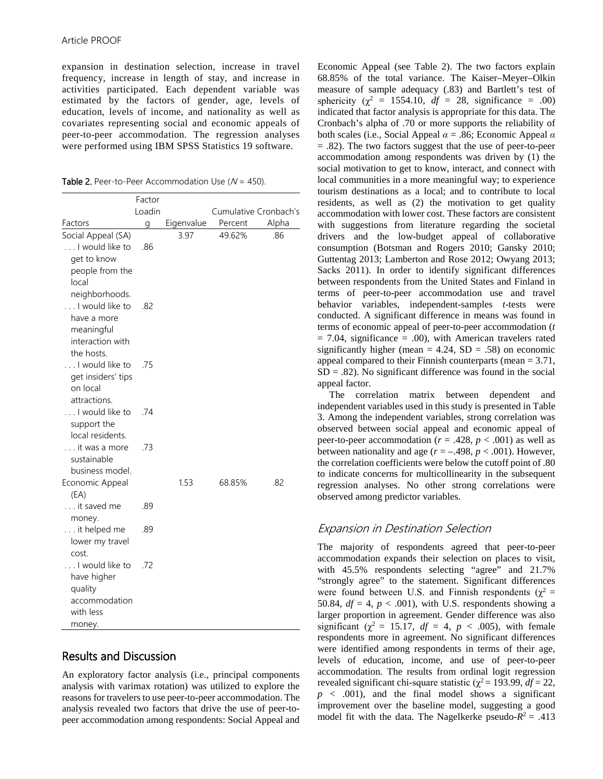expansion in destination selection, increase in travel frequency, increase in length of stay, and increase in activities participated. Each dependent variable was estimated by the factors of gender, age, levels of education, levels of income, and nationality as well as covariates representing social and economic appeals of peer-to-peer accommodation. The regression analyses were performed using IBM SPSS Statistics 19 software.

Table 2. Peer-to-Peer Accommodation Use  $(N = 450)$ .

|                                                                                   | Factor<br>Loadin |            | Cumulative Cronbach's |       |
|-----------------------------------------------------------------------------------|------------------|------------|-----------------------|-------|
| Factors                                                                           | g                | Eigenvalue | Percent               | Alpha |
| Social Appeal (SA)<br>I would like to                                             | .86              | 3.97       | 49.62%                | .86   |
| get to know<br>people from the<br>local<br>neighborhoods.                         |                  |            |                       |       |
| I would like to<br>have a more<br>meaningful<br>interaction with<br>the hosts.    | .82              |            |                       |       |
| I would like to<br>get insiders' tips<br>on local<br>attractions.                 | .75              |            |                       |       |
| I would like to<br>support the<br>local residents.                                | .74              |            |                       |       |
| . it was a more<br>sustainable<br>business model.                                 | .73              |            |                       |       |
| Economic Appeal<br>(EA)                                                           |                  | 1.53       | 68.85%                | .82   |
| it saved me<br>money.                                                             | .89              |            |                       |       |
| it helped me<br>lower my travel<br>cost.                                          | .89              |            |                       |       |
| I would like to<br>have higher<br>quality<br>accommodation<br>with less<br>money. | .72              |            |                       |       |

# Results and Discussion

An exploratory factor analysis (i.e., principal components analysis with varimax rotation) was utilized to explore the reasons for travelers to use peer-to-peer accommodation. The analysis revealed two factors that drive the use of peer-topeer accommodation among respondents: Social Appeal and

Economic Appeal (see Table 2). The two factors explain 68.85% of the total variance. The Kaiser–Meyer–Olkin measure of sample adequacy (.83) and Bartlett's test of sphericity ( $\chi^2$  = 1554.10,  $df = 28$ , significance = .00) indicated that factor analysis is appropriate for this data. The Cronbach's alpha of .70 or more supports the reliability of both scales (i.e., Social Appeal *α* = .86; Economic Appeal *α* = .82). The two factors suggest that the use of peer-to-peer accommodation among respondents was driven by (1) the social motivation to get to know, interact, and connect with local communities in a more meaningful way; to experience tourism destinations as a local; and to contribute to local residents, as well as (2) the motivation to get quality accommodation with lower cost. These factors are consistent with suggestions from literature regarding the societal drivers and the low-budget appeal of collaborative consumption (Botsman and Rogers 2010; Gansky 2010; Guttentag 2013; Lamberton and Rose 2012; Owyang 2013; Sacks 2011). In order to identify significant differences between respondents from the United States and Finland in terms of peer-to-peer accommodation use and travel behavior variables, independent-samples *t*-tests were conducted. A significant difference in means was found in terms of economic appeal of peer-to-peer accommodation (*t*  $= 7.04$ , significance  $= .00$ ), with American travelers rated significantly higher (mean  $= 4.24$ , SD  $= .58$ ) on economic appeal compared to their Finnish counterparts (mean = 3.71,  $SD = .82$ ). No significant difference was found in the social appeal factor.

The correlation matrix between dependent and independent variables used in this study is presented in Table 3. Among the independent variables, strong correlation was observed between social appeal and economic appeal of peer-to-peer accommodation ( $r = .428$ ,  $p < .001$ ) as well as between nationality and age  $(r = -.498, p < .001)$ . However, the correlation coefficients were below the cutoff point of .80 to indicate concerns for multicollinearity in the subsequent regression analyses. No other strong correlations were observed among predictor variables.

# Expansion in Destination Selection

The majority of respondents agreed that peer-to-peer accommodation expands their selection on places to visit, with 45.5% respondents selecting "agree" and 21.7% "strongly agree" to the statement. Significant differences were found between U.S. and Finnish respondents ( $\chi^2$  = 50.84,  $df = 4$ ,  $p < .001$ ), with U.S. respondents showing a larger proportion in agreement. Gender difference was also significant ( $\chi^2$  = 15.17, *df* = 4, *p* < .005), with female respondents more in agreement. No significant differences were identified among respondents in terms of their age, levels of education, income, and use of peer-to-peer accommodation. The results from ordinal logit regression revealed significant chi-square statistic ( $\chi^2$  = 193.99, *df* = 22,  $p \lt 0.001$ , and the final model shows a significant improvement over the baseline model, suggesting a good model fit with the data. The Nagelkerke pseudo- $R^2$  = .413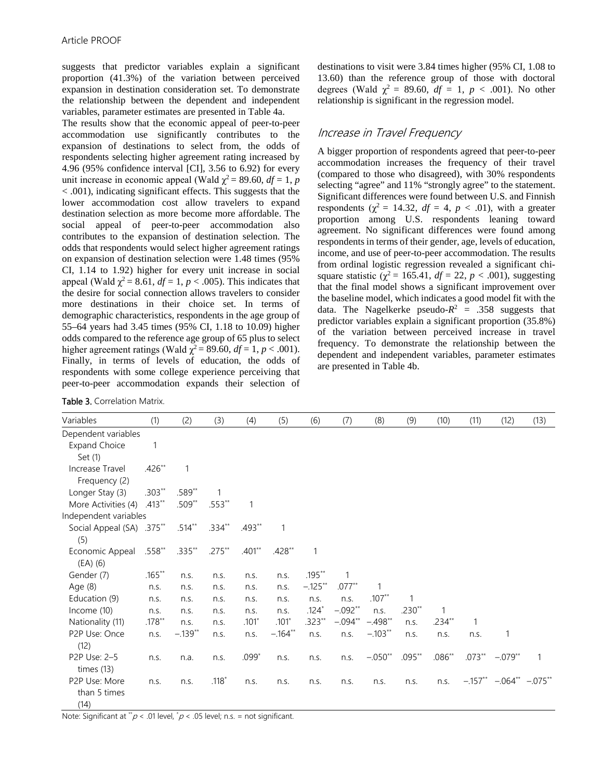suggests that predictor variables explain a significant proportion (41.3%) of the variation between perceived expansion in destination consideration set. To demonstrate the relationship between the dependent and independent variables, parameter estimates are presented in Table 4a.

The results show that the economic appeal of peer-to-peer accommodation use significantly contributes to the expansion of destinations to select from, the odds of respondents selecting higher agreement rating increased by 4.96 (95% confidence interval [CI], 3.56 to 6.92) for every unit increase in economic appeal (Wald  $\chi^2$  = 89.60, *df* = 1, *p* < .001), indicating significant effects. This suggests that the lower accommodation cost allow travelers to expand destination selection as more become more affordable. The social appeal of peer-to-peer accommodation also contributes to the expansion of destination selection. The odds that respondents would select higher agreement ratings on expansion of destination selection were 1.48 times (95% CI, 1.14 to 1.92) higher for every unit increase in social appeal (Wald  $\chi^2$  = 8.61,  $df = 1$ ,  $p < .005$ ). This indicates that the desire for social connection allows travelers to consider more destinations in their choice set. In terms of demographic characteristics, respondents in the age group of 55–64 years had 3.45 times (95% CI, 1.18 to 10.09) higher odds compared to the reference age group of 65 plus to select higher agreement ratings (Wald  $\chi^2$  = 89.60,  $df = 1$ ,  $p < .001$ ). Finally, in terms of levels of education, the odds of respondents with some college experience perceiving that peer-to-peer accommodation expands their selection of

Table 3. Correlation Matrix.

destinations to visit were 3.84 times higher (95% CI, 1.08 to 13.60) than the reference group of those with doctoral degrees (Wald  $\chi^2 = 89.60$ ,  $df = 1$ ,  $p < .001$ ). No other relationship is significant in the regression model.

# Increase in Travel Frequency

A bigger proportion of respondents agreed that peer-to-peer accommodation increases the frequency of their travel (compared to those who disagreed), with 30% respondents selecting "agree" and 11% "strongly agree" to the statement. Significant differences were found between U.S. and Finnish respondents ( $\chi^2$  = 14.32, *df* = 4, *p* < .01), with a greater proportion among U.S. respondents leaning toward agreement. No significant differences were found among respondents in terms of their gender, age, levels of education, income, and use of peer-to-peer accommodation. The results from ordinal logistic regression revealed a significant chisquare statistic ( $\chi^2$  = 165.41, *df* = 22, *p* < .001), suggesting that the final model shows a significant improvement over the baseline model, which indicates a good model fit with the data. The Nagelkerke pseudo- $R^2 = .358$  suggests that predictor variables explain a significant proportion (35.8%) of the variation between perceived increase in travel frequency. To demonstrate the relationship between the dependent and independent variables, parameter estimates are presented in Table 4b.

| Variables                 | (1)       | (2)       | (3)      | (4)          | (5)       | (6)          | (7)       | (8)       | (9)      | (10)        | (11)         | (12)                 | (13)         |
|---------------------------|-----------|-----------|----------|--------------|-----------|--------------|-----------|-----------|----------|-------------|--------------|----------------------|--------------|
| Dependent variables       |           |           |          |              |           |              |           |           |          |             |              |                      |              |
| <b>Expand Choice</b>      | 1         |           |          |              |           |              |           |           |          |             |              |                      |              |
| Set (1)                   |           |           |          |              |           |              |           |           |          |             |              |                      |              |
| Increase Travel           | $.426**$  | 1         |          |              |           |              |           |           |          |             |              |                      |              |
| Frequency (2)             |           |           |          |              |           |              |           |           |          |             |              |                      |              |
| Longer Stay (3)           | $.303**$  | .589**    | 1        |              |           |              |           |           |          |             |              |                      |              |
| More Activities (4)       | $.413**$  | $.509**$  | $.553**$ | $\mathbf{1}$ |           |              |           |           |          |             |              |                      |              |
| Independent variables     |           |           |          |              |           |              |           |           |          |             |              |                      |              |
| Social Appeal (SA) .375** |           | $.514***$ | $.334**$ | $.493**$     | 1         |              |           |           |          |             |              |                      |              |
| (5)                       |           |           |          |              |           |              |           |           |          |             |              |                      |              |
| Economic Appeal           | $.558**$  | $.335**$  | $.275**$ | $.401**$     | $.428**$  | $\mathbf{1}$ |           |           |          |             |              |                      |              |
| $(EA)$ (6)                |           |           |          |              |           |              |           |           |          |             |              |                      |              |
| Gender (7)                | $.165***$ | n.s.      | n.s.     | n.s.         | n.s.      | $.195***$    | 1         |           |          |             |              |                      |              |
| Age $(8)$                 | n.s.      | n.s.      | n.s.     | n.s.         | n.s.      | $-.125**$    | $.077**$  | 1         |          |             |              |                      |              |
| Education (9)             | n.s.      | n.s.      | n.s.     | n.s.         | n.s.      | n.s.         | n.s.      | $.107**$  | 1        |             |              |                      |              |
| Income (10)               | n.s.      | n.s.      | n.s.     | n.s.         | n.s.      | $.124*$      | $-.092**$ | n.s.      | $.230**$ | $\mathbf 1$ |              |                      |              |
| Nationality (11)          | $.178**$  | n.s.      | n.s.     | $.101*$      | $.101*$   | $.323**$     | $-.094**$ | $-.498**$ | n.s.     | $.234**$    | $\mathbf{1}$ |                      |              |
| P2P Use: Once             | n.s.      | $-.139**$ | n.s.     | n.s.         | $-.164**$ | n.s.         | n.s.      | $-.103**$ | n.s.     | n.s.        | n.s.         | 1                    |              |
| (12)                      |           |           |          |              |           |              |           |           |          |             |              |                      |              |
| P2P Use: 2-5              | n.s.      | n.a.      | n.s.     | $.099*$      | n.s.      | n.s.         | n.s.      | $-.050**$ | $.095**$ | $.086**$    | $.073**$     | $-.079**$            | $\mathbf{1}$ |
| times $(13)$              |           |           |          |              |           |              |           |           |          |             |              |                      |              |
| P2P Use: More             | n.s.      | n.s.      | $.118*$  | n.s.         | n.s.      | n.s.         | n.s.      | n.s.      | n.s.     | n.S.        | $-.157***$   | $-.064***$ $-.075**$ |              |
| than 5 times              |           |           |          |              |           |              |           |           |          |             |              |                      |              |
| (14)                      |           |           |          |              |           |              |           |           |          |             |              |                      |              |

Note: Significant at  $\sqrt{*}p < .01$  level,  $\sqrt{*}p < .05$  level; n.s. = not significant.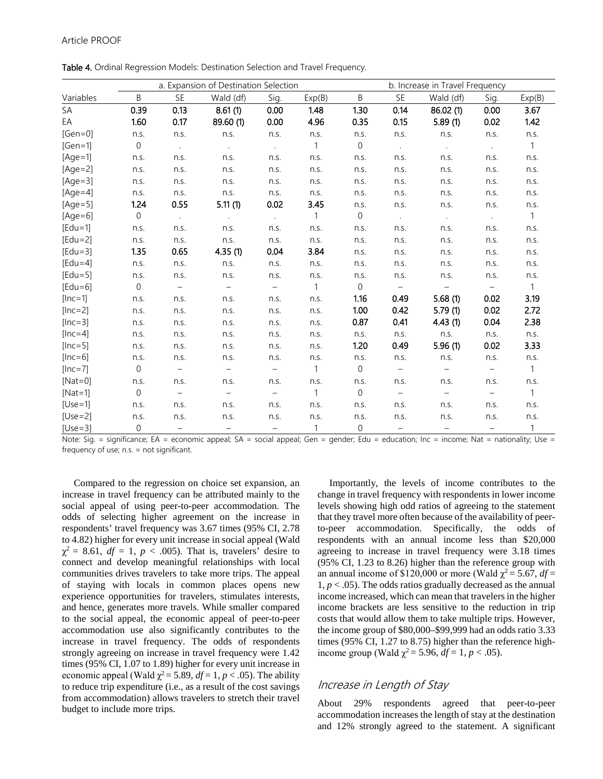Table 4. Ordinal Regression Models: Destination Selection and Travel Frequency.

|             |                |                          | a. Expansion of Destination Selection |                          |                | b. Increase in Travel Frequency |                          |                          |                          |              |  |
|-------------|----------------|--------------------------|---------------------------------------|--------------------------|----------------|---------------------------------|--------------------------|--------------------------|--------------------------|--------------|--|
| Variables   | B              | <b>SE</b>                | Wald (df)                             | Sig.                     | Exp(B)         | B                               | SE                       | Wald (df)                | Sig.                     | Exp(B)       |  |
| SA          | 0.39           | 0.13                     | 8.61(1)                               | 0.00                     | 1.48           | 1.30                            | 0.14                     | 86.02(1)                 | 0.00                     | 3.67         |  |
| EA          | 1.60           | 0.17                     | 89.60 (1)                             | 0.00                     | 4.96           | 0.35                            | 0.15                     | 5.89(1)                  | 0.02                     | 1.42         |  |
| $[Gen=0]$   | n.s.           | n.s.                     | n.s.                                  | n.S.                     | n.s.           | n.s.                            | n.s.                     | n.s.                     | n.s.                     | n.s.         |  |
| $[Gen=1]$   | $\overline{0}$ | $\sim$ $\sim$            | $\sim$                                |                          | $\overline{1}$ | $\mathbf 0$                     | $\sim$                   | $\sim$                   | $\sim 10$                | $\mathbf{1}$ |  |
| $[Age=1]$   | n.s.           | n.s.                     | n.s.                                  | n.s.                     | n.s.           | n.s.                            | n.s.                     | n.s.                     | n.s.                     | n.s.         |  |
| $[Age=2]$   | n.s.           | n.s.                     | n.s.                                  | n.s.                     | n.s.           | n.s.                            | n.s.                     | n.s.                     | n.s.                     | n.s.         |  |
| $[Age=3]$   | n.s.           | n.s.                     | n.s.                                  | n.s.                     | n.s.           | n.s.                            | n.s.                     | n.s.                     | n.s.                     | n.s.         |  |
| $[Age=4]$   | n.s.           | n.s.                     | n.s.                                  | n.s.                     | n.s.           | n.s.                            | n.s.                     | n.s.                     | n.s.                     | n.s.         |  |
| $[Age=5]$   | 1.24           | 0.55                     | 5.11(1)                               | 0.02                     | 3.45           | n.s.                            | n.s.                     | n.s.                     | n.s.                     | n.s.         |  |
| $[Age=6]$   | $\overline{0}$ | $\sim 10$                | $\sim$                                | $\sim$                   | $\overline{1}$ | $\boldsymbol{0}$                | $\sim$                   | $\sim$                   | $\sim$                   | $\mathbf{1}$ |  |
| $[Edu=1]$   | n.s.           | n.s.                     | n.s.                                  | n.s.                     | n.s.           | n.s.                            | n.s.                     | n.s.                     | n.s.                     | n.s.         |  |
| $[Edu=2]$   | n.s.           | n.s.                     | n.s.                                  | n.s.                     | n.s.           | n.s.                            | n.s.                     | n.s.                     | n.s.                     | n.s.         |  |
| $[Edu=3]$   | 1.35           | 0.65                     | 4.35(1)                               | 0.04                     | 3.84           | n.s.                            | n.s.                     | n.s.                     | n.S.                     | n.s.         |  |
| $[Edu=4]$   | n.s.           | n.s.                     | n.s.                                  | n.s.                     | n.s.           | n.s.                            | n.s.                     | n.s.                     | n.s.                     | n.s.         |  |
| $[Edu=5]$   | n.s.           | n.S.                     | n.S.                                  | n.s.                     | n.s.           | n.s.                            | n.s.                     | n.s.                     | n.s.                     | n.s.         |  |
| $[Edu=6]$   | $\overline{0}$ | $\overline{\phantom{m}}$ | $\overline{\phantom{0}}$              | $\overline{\phantom{m}}$ | $\mathbf{1}$   | $\boldsymbol{0}$                | $\equiv$                 | $\overline{\phantom{m}}$ | $\overline{\phantom{0}}$ | $\mathbf{1}$ |  |
| $[lnc=1]$   | n.s.           | n.s.                     | n.S.                                  | n.s.                     | n.S.           | 1.16                            | 0.49                     | 5.68(1)                  | 0.02                     | 3.19         |  |
| $[lnc=2]$   | n.s.           | n.s.                     | n.s.                                  | n.s.                     | n.s.           | 1.00                            | 0.42                     | 5.79(1)                  | 0.02                     | 2.72         |  |
| $[lnc=3]$   | n.s.           | n.s.                     | n.s.                                  | n.s.                     | n.s.           | 0.87                            | 0.41                     | 4.43(1)                  | 0.04                     | 2.38         |  |
| $[Inc=4]$   | n.s.           | n.s.                     | n.S.                                  | n.s.                     | n.s.           | n.s.                            | n.s.                     | n.s.                     | n.s.                     | n.s.         |  |
| $[Inc=5]$   | n.s.           | n.s.                     | n.s.                                  | n.s.                     | n.s.           | 1.20                            | 0.49                     | 5.96(1)                  | 0.02                     | 3.33         |  |
| $[Inc=6]$   | n.s.           | n.s.                     | n.s.                                  | n.s.                     | n.s.           | n.s.                            | n.s.                     | n.s.                     | n.s.                     | n.s.         |  |
| $[Inc=7]$   | $\Omega$       | $\overline{\phantom{m}}$ | $\overline{\phantom{m}}$              | $\overline{\phantom{m}}$ | $\overline{1}$ | $\mathbf 0$                     | $\overline{\phantom{m}}$ | $\overline{\phantom{m}}$ | $\overline{\phantom{a}}$ | $\mathbf{1}$ |  |
| [ $Nat=0$ ] | n.s.           | n.s.                     | n.s.                                  | n.s.                     | n.s.           | n.s.                            | n.s.                     | n.s.                     | n.s.                     | n.s.         |  |
| $[Nat=1]$   | $\overline{0}$ | $\overline{\phantom{a}}$ | $\equiv$                              | $\overline{\phantom{a}}$ | $\mathbf{1}$   | $\mathbf 0$                     | $\equiv$                 | $-$                      | $\overline{\phantom{a}}$ | $\mathbf{1}$ |  |
| $[Use=1]$   | n.s.           | n.s.                     | n.s.                                  | n.s.                     | n.s.           | n.s.                            | n.s.                     | n.s.                     | n.s.                     | n.s.         |  |
| $[Use=2]$   | n.s.           | n.s.                     | n.s.                                  | n.s.                     | n.s.           | n.s.                            | n.s.                     | n.s.                     | n.s.                     | n.s.         |  |
| $[Use=3]$   | $\Omega$       | $\qquad \qquad -$        | $\qquad \qquad -$                     | $\overline{\phantom{a}}$ | $\mathbf{1}$   | $\overline{0}$                  | $\overline{\phantom{m}}$ | $\qquad \qquad -$        | $\overline{\phantom{a}}$ | 1            |  |

Note: Sig. = significance; EA = economic appeal; SA = social appeal; Gen = gender; Edu = education; Inc = income; Nat = nationality; Use = frequency of use; n.s. = not significant.

Compared to the regression on choice set expansion, an increase in travel frequency can be attributed mainly to the social appeal of using peer-to-peer accommodation. The odds of selecting higher agreement on the increase in respondents' travel frequency was 3.67 times (95% CI, 2.78 to 4.82) higher for every unit increase in social appeal (Wald  $\chi^2 = 8.61$ ,  $df = 1$ ,  $p < .005$ ). That is, travelers' desire to connect and develop meaningful relationships with local communities drives travelers to take more trips. The appeal of staying with locals in common places opens new experience opportunities for travelers, stimulates interests, and hence, generates more travels. While smaller compared to the social appeal, the economic appeal of peer-to-peer accommodation use also significantly contributes to the increase in travel frequency. The odds of respondents strongly agreeing on increase in travel frequency were 1.42 times (95% CI, 1.07 to 1.89) higher for every unit increase in economic appeal (Wald  $\chi^2$  = 5.89, *df* = 1, *p* < .05). The ability to reduce trip expenditure (i.e., as a result of the cost savings from accommodation) allows travelers to stretch their travel budget to include more trips.

Importantly, the levels of income contributes to the change in travel frequency with respondents in lower income levels showing high odd ratios of agreeing to the statement that they travel more often because of the availability of peerto-peer accommodation. Specifically, the odds of respondents with an annual income less than \$20,000 agreeing to increase in travel frequency were 3.18 times (95% CI, 1.23 to 8.26) higher than the reference group with an annual income of \$120,000 or more (Wald  $\chi^2$  = 5.67, *df* =  $1, p < .05$ ). The odds ratios gradually decreased as the annual income increased, which can mean that travelers in the higher income brackets are less sensitive to the reduction in trip costs that would allow them to take multiple trips. However, the income group of \$80,000–\$99,999 had an odds ratio 3.33 times (95% CI, 1.27 to 8.75) higher than the reference highincome group (Wald  $\chi^2$  = 5.96, *df* = 1, *p* < .05).

## Increase in Length of Stay

About 29% respondents agreed that peer-to-peer accommodation increases the length of stay at the destination and 12% strongly agreed to the statement. A significant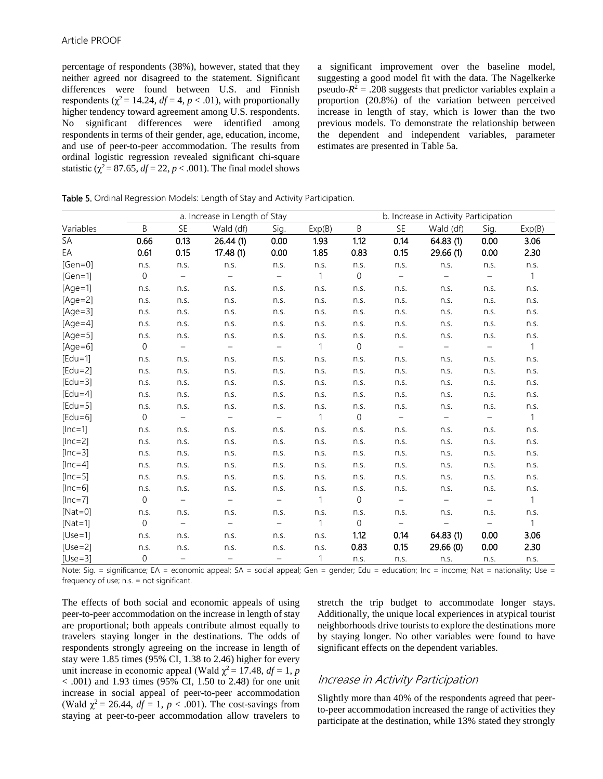percentage of respondents (38%), however, stated that they neither agreed nor disagreed to the statement. Significant differences were found between U.S. and Finnish respondents ( $\chi^2$  = 14.24, *df* = 4, *p* < .01), with proportionally higher tendency toward agreement among U.S. respondents. No significant differences were identified among respondents in terms of their gender, age, education, income, and use of peer-to-peer accommodation. The results from ordinal logistic regression revealed significant chi-square statistic ( $\chi^2$  = 87.65, *df* = 22, *p* < .001). The final model shows

a significant improvement over the baseline model, suggesting a good model fit with the data. The Nagelkerke pseudo- $R^2$  = .208 suggests that predictor variables explain a proportion (20.8%) of the variation between perceived increase in length of stay, which is lower than the two previous models. To demonstrate the relationship between the dependent and independent variables, parameter estimates are presented in Table 5a.

Table 5. Ordinal Regression Models: Length of Stay and Activity Participation.

|           |                |                          | a. Increase in Length of Stay |                          |              | b. Increase in Activity Participation |                          |                          |                          |                |
|-----------|----------------|--------------------------|-------------------------------|--------------------------|--------------|---------------------------------------|--------------------------|--------------------------|--------------------------|----------------|
| Variables | B              | SE                       | Wald (df)                     | Sig.                     | Exp(B)       | B                                     | <b>SE</b>                | Wald (df)                | Sig.                     | Exp(B)         |
| SA        | 0.66           | 0.13                     | 26.44(1)                      | 0.00                     | 1.93         | 1.12                                  | 0.14                     | 64.83(1)                 | 0.00                     | 3.06           |
| EA        | 0.61           | 0.15                     | 17.48(1)                      | 0.00                     | 1.85         | 0.83                                  | 0.15                     | 29.66(1)                 | 0.00                     | 2.30           |
| $[Gen=0]$ | n.s.           | n.s.                     | n.s.                          | n.s.                     | n.s.         | n.s.                                  | n.s.                     | n.s.                     | n.s.                     | n.s.           |
| $[Gen=1]$ | $\Omega$       | $\overline{\phantom{0}}$ | $\overline{\phantom{a}}$      | $\equiv$                 | $\mathbf{1}$ | $\Omega$                              | $\overline{\phantom{a}}$ |                          | $\overline{\phantom{m}}$ | $\mathbf{1}$   |
| $[Age=1]$ | n.s.           | n.s.                     | n.s.                          | n.s.                     | n.S.         | n.s.                                  | n.s.                     | n.s.                     | n.s.                     | n.s.           |
| $[Age=2]$ | n.s.           | n.S.                     | n.s.                          | n.s.                     | n.S.         | n.s.                                  | n.s.                     | n.s.                     | n.s.                     | n.s.           |
| $[Age=3]$ | n.s.           | n.s.                     | n.s.                          | n.s.                     | n.s.         | n.s.                                  | n.s.                     | n.s.                     | n.s.                     | n.s.           |
| $[Age=4]$ | n.s.           | n.s.                     | n.s.                          | n.s.                     | n.s.         | n.s.                                  | n.s.                     | n.s.                     | n.s.                     | n.s.           |
| $[Age=5]$ | n.s.           | n.s.                     | n.s.                          | n.s.                     | n.s.         | n.S.                                  | n.S.                     | n.s.                     | n.s.                     | n.s.           |
| $[Age=6]$ | $\overline{0}$ | $-$                      | $-$                           | $\overline{\phantom{a}}$ | $\mathbf{1}$ | $\overline{0}$                        | $\overline{\phantom{a}}$ | $\overline{\phantom{m}}$ | $\overline{\phantom{m}}$ | $\overline{1}$ |
| $[Edu=1]$ | n.s.           | n.s.                     | n.s.                          | n.s.                     | n.S.         | n.s.                                  | n.s.                     | n.s.                     | n.s.                     | n.s.           |
| $[Edu=2]$ | n.s.           | n.s.                     | n.s.                          | n.s.                     | n.s.         | n.s.                                  | n.s.                     | n.s.                     | n.s.                     | n.s.           |
| $[Edu=3]$ | n.s.           | n.s.                     | n.s.                          | n.s.                     | n.S.         | n.s.                                  | n.s.                     | n.s.                     | n.s.                     | n.s.           |
| $[Edu=4]$ | n.s.           | n.s.                     | n.s.                          | n.s.                     | n.s.         | n.s.                                  | n.s.                     | n.s.                     | n.s.                     | n.s.           |
| $[Edu=5]$ | n.s.           | n.s.                     | n.s.                          | n.s.                     | n.S.         | n.s.                                  | n.S.                     | n.s.                     | n.s.                     | n.s.           |
| $[Edu=6]$ | $\overline{0}$ | $\overline{\phantom{0}}$ | $\overline{\phantom{0}}$      | $\overline{\phantom{a}}$ | $\mathbf{1}$ | $\overline{0}$                        | $\overline{\phantom{a}}$ | $\overline{\phantom{m}}$ | $\overline{\phantom{0}}$ | $\overline{1}$ |
| $[lnc=1]$ | n.s.           | n.s.                     | n.s.                          | n.s.                     | n.s.         | n.s.                                  | n.s.                     | n.s.                     | n.s.                     | n.s.           |
| $[Inc=2]$ | n.s.           | n.s.                     | n.s.                          | n.s.                     | n.s.         | n.S.                                  | n.s.                     | n.s.                     | n.s.                     | n.s.           |
| $[lnc=3]$ | n.s.           | n.s.                     | n.s.                          | n.s.                     | n.s.         | n.s.                                  | n.s.                     | n.s.                     | n.s.                     | n.s.           |
| $[Inc=4]$ | n.s.           | n.s.                     | n.s.                          | n.s.                     | n.s.         | n.s.                                  | n.s.                     | n.s.                     | n.s.                     | n.s.           |
| $[Inc=5]$ | n.s.           | n.s.                     | n.s.                          | n.s.                     | n.S.         | n.s.                                  | n.s.                     | n.s.                     | n.s.                     | n.s.           |
| $[Inc=6]$ | n.s.           | n.s.                     | n.s.                          | n.s.                     | n.S.         | n.s.                                  | n.s.                     | n.s.                     | n.s.                     | n.s.           |
| $[Inc=7]$ | $\overline{0}$ | $-$                      | $\overline{\phantom{m}}$      | $\overline{\phantom{m}}$ | $\mathbf{1}$ | $\overline{0}$                        | $\overline{\phantom{a}}$ | $\overline{\phantom{m}}$ | $-$                      | $\overline{1}$ |
| $[Nat=0]$ | n.s.           | n.s.                     | n.s.                          | n.s.                     | n.s.         | n.s.                                  | n.s.                     | n.s.                     | n.s.                     | n.s.           |
| $[Nat=1]$ | $\overline{0}$ | $\overline{\phantom{a}}$ | $-$                           | $\overline{\phantom{m}}$ | $\mathbf{1}$ | $\overline{0}$                        | $\equiv$                 | $\overline{\phantom{a}}$ | $ \,$                    | $\mathbf{1}$   |
| $[Use=1]$ | n.s.           | n.s.                     | n.s.                          | n.s.                     | n.s.         | 1.12                                  | 0.14                     | 64.83(1)                 | 0.00                     | 3.06           |
| $[Use=2]$ | n.s.           | n.s.                     | n.s.                          | n.s.                     | n.s.         | 0.83                                  | 0.15                     | 29.66(0)                 | 0.00                     | 2.30           |
| $[Use=3]$ | 0              | $\overline{\phantom{m}}$ | $\overline{\phantom{a}}$      | $\qquad \qquad -$        | $\mathbf{1}$ | n.s.                                  | n.s.                     | n.s.                     | n.s.                     | n.s.           |

Note: Sig. = significance; EA = economic appeal; SA = social appeal; Gen = gender; Edu = education; Inc = income; Nat = nationality; Use = frequency of use; n.s. = not significant.

The effects of both social and economic appeals of using peer-to-peer accommodation on the increase in length of stay are proportional; both appeals contribute almost equally to travelers staying longer in the destinations. The odds of respondents strongly agreeing on the increase in length of stay were 1.85 times (95% CI, 1.38 to 2.46) higher for every unit increase in economic appeal (Wald  $\chi^2 = 17.48$ ,  $df = 1$ , *p*  $< .001$ ) and 1.93 times (95% CI, 1.50 to 2.48) for one unit increase in social appeal of peer-to-peer accommodation (Wald  $\chi^2$  = 26.44,  $df = 1$ ,  $p < .001$ ). The cost-savings from staying at peer-to-peer accommodation allow travelers to

stretch the trip budget to accommodate longer stays. Additionally, the unique local experiences in atypical tourist neighborhoods drive tourists to explore the destinations more by staying longer. No other variables were found to have significant effects on the dependent variables.

## Increase in Activity Participation

Slightly more than 40% of the respondents agreed that peerto-peer accommodation increased the range of activities they participate at the destination, while 13% stated they strongly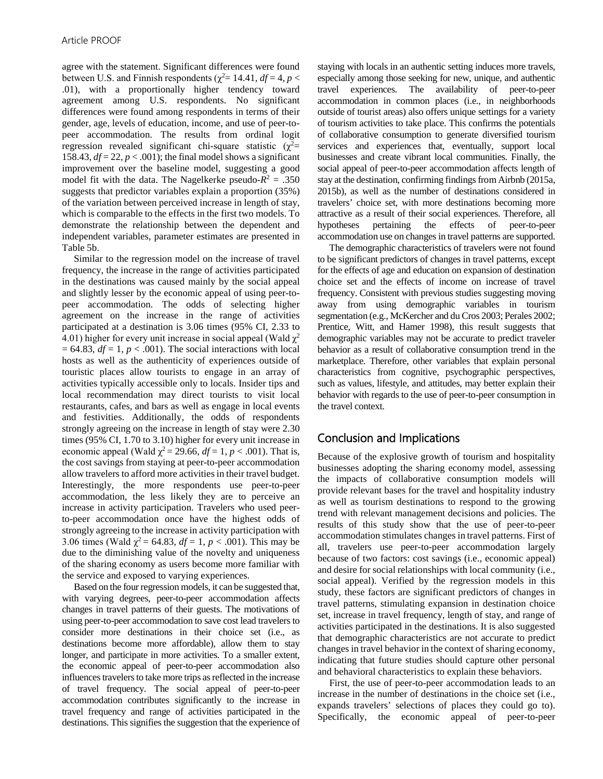agree with the statement. Significant differences were found between U.S. and Finnish respondents ( $\chi^2$  = 14.41, *df* = 4, *p* < .01), with a proportionally higher tendency toward agreement among U.S. respondents. No significant differences were found among respondents in terms of their gender, age, levels of education, income, and use of peer-topeer accommodation. The results from ordinal logit regression revealed significant chi-square statistic  $(\chi^2$ = 158.43,  $df = 22$ ,  $p < .001$ ); the final model shows a significant improvement over the baseline model, suggesting a good model fit with the data. The Nagelkerke pseudo- $R^2 = .350$ suggests that predictor variables explain a proportion (35%) of the variation between perceived increase in length of stay, which is comparable to the effects in the first two models. To demonstrate the relationship between the dependent and independent variables, parameter estimates are presented in Table 5b.

Similar to the regression model on the increase of travel frequency, the increase in the range of activities participated in the destinations was caused mainly by the social appeal and slightly lesser by the economic appeal of using peer-topeer accommodation. The odds of selecting higher agreement on the increase in the range of activities participated at a destination is 3.06 times (95% CI, 2.33 to 4.01) higher for every unit increase in social appeal (Wald  $\chi^2$  $= 64.83$ ,  $df = 1$ ,  $p < .001$ ). The social interactions with local hosts as well as the authenticity of experiences outside of touristic places allow tourists to engage in an array of activities typically accessible only to locals. Insider tips and local recommendation may direct tourists to visit local restaurants, cafes, and bars as well as engage in local events and festivities. Additionally, the odds of respondents strongly agreeing on the increase in length of stay were 2.30 times (95% CI, 1.70 to 3.10) higher for every unit increase in economic appeal (Wald  $\chi^2$  = 29.66,  $df = 1$ ,  $p < .001$ ). That is, the cost savings from staying at peer-to-peer accommodation allow travelers to afford more activities in their travel budget. Interestingly, the more respondents use peer-to-peer accommodation, the less likely they are to perceive an increase in activity participation. Travelers who used peerto-peer accommodation once have the highest odds of strongly agreeing to the increase in activity participation with 3.06 times (Wald  $\chi^2$  = 64.83, *df* = 1, *p* < .001). This may be due to the diminishing value of the novelty and uniqueness of the sharing economy as users become more familiar with the service and exposed to varying experiences.

Based on the four regression models, it can be suggested that, with varying degrees, peer-to-peer accommodation affects changes in travel patterns of their guests. The motivations of using peer-to-peer accommodation to save cost lead travelers to consider more destinations in their choice set (i.e., as destinations become more affordable), allow them to stay longer, and participate in more activities. To a smaller extent, the economic appeal of peer-to-peer accommodation also influences travelers to take more trips as reflected in the increase of travel frequency. The social appeal of peer-to-peer accommodation contributes significantly to the increase in travel frequency and range of activities participated in the destinations. This signifies the suggestion that the experience of staying with locals in an authentic setting induces more travels, especially among those seeking for new, unique, and authentic travel experiences. The availability of peer-to-peer accommodation in common places (i.e., in neighborhoods outside of tourist areas) also offers unique settings for a variety of tourism activities to take place. This confirms the potentials of collaborative consumption to generate diversified tourism services and experiences that, eventually, support local businesses and create vibrant local communities. Finally, the social appeal of peer-to-peer accommodation affects length of stay at the destination, confirming findings from Airbnb (2015a, 2015b), as well as the number of destinations considered in travelers' choice set, with more destinations becoming more attractive as a result of their social experiences. Therefore, all hypotheses pertaining the effects of peer-to-peer accommodation use on changes in travel patterns are supported.

The demographic characteristics of travelers were not found to be significant predictors of changes in travel patterns, except for the effects of age and education on expansion of destination choice set and the effects of income on increase of travel frequency. Consistent with previous studies suggesting moving away from using demographic variables in tourism segmentation (e.g., McKercher and du Cros 2003; Perales 2002; Prentice, Witt, and Hamer 1998), this result suggests that demographic variables may not be accurate to predict traveler behavior as a result of collaborative consumption trend in the marketplace. Therefore, other variables that explain personal characteristics from cognitive, psychographic perspectives, such as values, lifestyle, and attitudes, may better explain their behavior with regards to the use of peer-to-peer consumption in the travel context.

# Conclusion and Implications

Because of the explosive growth of tourism and hospitality businesses adopting the sharing economy model, assessing the impacts of collaborative consumption models will provide relevant bases for the travel and hospitality industry as well as tourism destinations to respond to the growing trend with relevant management decisions and policies. The results of this study show that the use of peer-to-peer accommodation stimulates changes in travel patterns. First of all, travelers use peer-to-peer accommodation largely because of two factors: cost savings (i.e., economic appeal) and desire for social relationships with local community (i.e., social appeal). Verified by the regression models in this study, these factors are significant predictors of changes in travel patterns, stimulating expansion in destination choice set, increase in travel frequency, length of stay, and range of activities participated in the destinations. It is also suggested that demographic characteristics are not accurate to predict changes in travel behavior in the context of sharing economy, indicating that future studies should capture other personal and behavioral characteristics to explain these behaviors.

First, the use of peer-to-peer accommodation leads to an increase in the number of destinations in the choice set (i.e., expands travelers' selections of places they could go to). Specifically, the economic appeal of peer-to-peer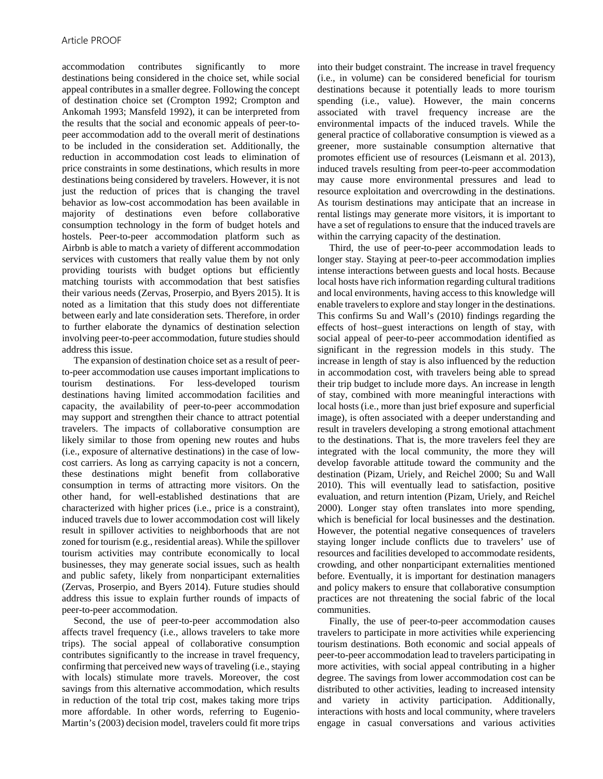accommodation contributes significantly to more destinations being considered in the choice set, while social appeal contributes in a smaller degree. Following the concept of destination choice set (Crompton 1992; Crompton and Ankomah 1993; Mansfeld 1992), it can be interpreted from the results that the social and economic appeals of peer-topeer accommodation add to the overall merit of destinations to be included in the consideration set. Additionally, the reduction in accommodation cost leads to elimination of price constraints in some destinations, which results in more destinations being considered by travelers. However, it is not just the reduction of prices that is changing the travel behavior as low-cost accommodation has been available in majority of destinations even before collaborative consumption technology in the form of budget hotels and hostels. Peer-to-peer accommodation platform such as Airbnb is able to match a variety of different accommodation services with customers that really value them by not only providing tourists with budget options but efficiently matching tourists with accommodation that best satisfies their various needs (Zervas, Proserpio, and Byers 2015). It is noted as a limitation that this study does not differentiate between early and late consideration sets. Therefore, in order to further elaborate the dynamics of destination selection involving peer-to-peer accommodation, future studies should address this issue.

The expansion of destination choice set as a result of peerto-peer accommodation use causes important implications to tourism destinations. For less-developed tourism destinations having limited accommodation facilities and capacity, the availability of peer-to-peer accommodation may support and strengthen their chance to attract potential travelers. The impacts of collaborative consumption are likely similar to those from opening new routes and hubs (i.e., exposure of alternative destinations) in the case of lowcost carriers. As long as carrying capacity is not a concern, these destinations might benefit from collaborative consumption in terms of attracting more visitors. On the other hand, for well-established destinations that are characterized with higher prices (i.e., price is a constraint), induced travels due to lower accommodation cost will likely result in spillover activities to neighborhoods that are not zoned for tourism (e.g., residential areas). While the spillover tourism activities may contribute economically to local businesses, they may generate social issues, such as health and public safety, likely from nonparticipant externalities (Zervas, Proserpio, and Byers 2014). Future studies should address this issue to explain further rounds of impacts of peer-to-peer accommodation.

Second, the use of peer-to-peer accommodation also affects travel frequency (i.e., allows travelers to take more trips). The social appeal of collaborative consumption contributes significantly to the increase in travel frequency, confirming that perceived new ways of traveling (i.e., staying with locals) stimulate more travels. Moreover, the cost savings from this alternative accommodation, which results in reduction of the total trip cost, makes taking more trips more affordable. In other words, referring to Eugenio-Martin's (2003) decision model, travelers could fit more trips into their budget constraint. The increase in travel frequency (i.e., in volume) can be considered beneficial for tourism destinations because it potentially leads to more tourism spending (i.e., value). However, the main concerns associated with travel frequency increase are the environmental impacts of the induced travels. While the general practice of collaborative consumption is viewed as a greener, more sustainable consumption alternative that promotes efficient use of resources (Leismann et al. 2013), induced travels resulting from peer-to-peer accommodation may cause more environmental pressures and lead to resource exploitation and overcrowding in the destinations. As tourism destinations may anticipate that an increase in rental listings may generate more visitors, it is important to have a set of regulations to ensure that the induced travels are within the carrying capacity of the destination.

Third, the use of peer-to-peer accommodation leads to longer stay. Staying at peer-to-peer accommodation implies intense interactions between guests and local hosts. Because local hosts have rich information regarding cultural traditions and local environments, having access to this knowledge will enable travelers to explore and stay longer in the destinations. This confirms Su and Wall's (2010) findings regarding the effects of host–guest interactions on length of stay, with social appeal of peer-to-peer accommodation identified as significant in the regression models in this study. The increase in length of stay is also influenced by the reduction in accommodation cost, with travelers being able to spread their trip budget to include more days. An increase in length of stay, combined with more meaningful interactions with local hosts (i.e., more than just brief exposure and superficial image), is often associated with a deeper understanding and result in travelers developing a strong emotional attachment to the destinations. That is, the more travelers feel they are integrated with the local community, the more they will develop favorable attitude toward the community and the destination (Pizam, Uriely, and Reichel 2000; Su and Wall 2010). This will eventually lead to satisfaction, positive evaluation, and return intention (Pizam, Uriely, and Reichel 2000). Longer stay often translates into more spending, which is beneficial for local businesses and the destination. However, the potential negative consequences of travelers staying longer include conflicts due to travelers' use of resources and facilities developed to accommodate residents, crowding, and other nonparticipant externalities mentioned before. Eventually, it is important for destination managers and policy makers to ensure that collaborative consumption practices are not threatening the social fabric of the local communities.

Finally, the use of peer-to-peer accommodation causes travelers to participate in more activities while experiencing tourism destinations. Both economic and social appeals of peer-to-peer accommodation lead to travelers participating in more activities, with social appeal contributing in a higher degree. The savings from lower accommodation cost can be distributed to other activities, leading to increased intensity and variety in activity participation. Additionally, interactions with hosts and local community, where travelers engage in casual conversations and various activities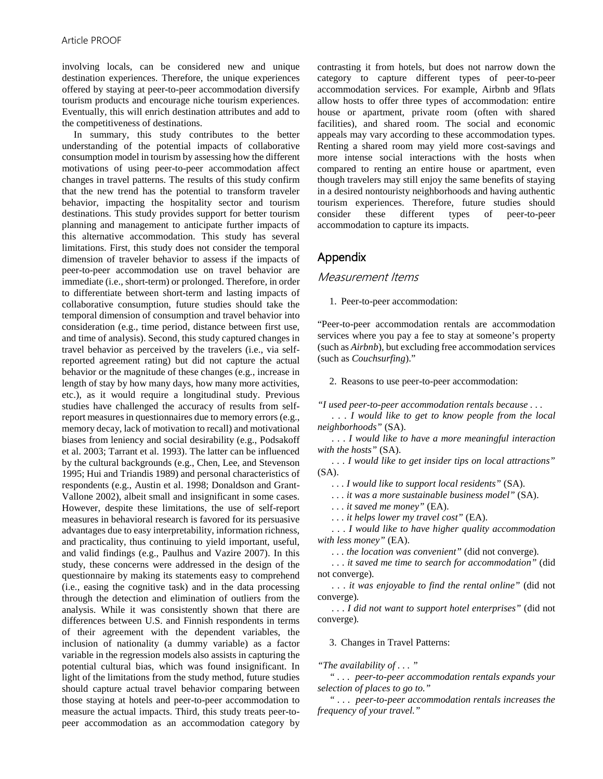involving locals, can be considered new and unique destination experiences. Therefore, the unique experiences offered by staying at peer-to-peer accommodation diversify tourism products and encourage niche tourism experiences. Eventually, this will enrich destination attributes and add to the competitiveness of destinations.

In summary, this study contributes to the better understanding of the potential impacts of collaborative consumption model in tourism by assessing how the different motivations of using peer-to-peer accommodation affect changes in travel patterns. The results of this study confirm that the new trend has the potential to transform traveler behavior, impacting the hospitality sector and tourism destinations. This study provides support for better tourism planning and management to anticipate further impacts of this alternative accommodation. This study has several limitations. First, this study does not consider the temporal dimension of traveler behavior to assess if the impacts of peer-to-peer accommodation use on travel behavior are immediate (i.e., short-term) or prolonged. Therefore, in order to differentiate between short-term and lasting impacts of collaborative consumption, future studies should take the temporal dimension of consumption and travel behavior into consideration (e.g., time period, distance between first use, and time of analysis). Second, this study captured changes in travel behavior as perceived by the travelers (i.e., via selfreported agreement rating) but did not capture the actual behavior or the magnitude of these changes (e.g., increase in length of stay by how many days, how many more activities, etc.), as it would require a longitudinal study. Previous studies have challenged the accuracy of results from selfreport measures in questionnaires due to memory errors (e.g., memory decay, lack of motivation to recall) and motivational biases from leniency and social desirability (e.g., Podsakoff et al. 2003; Tarrant et al. 1993). The latter can be influenced by the cultural backgrounds (e.g., Chen, Lee, and Stevenson 1995; Hui and Triandis 1989) and personal characteristics of respondents (e.g., Austin et al. 1998; Donaldson and Grant-Vallone 2002), albeit small and insignificant in some cases. However, despite these limitations, the use of self-report measures in behavioral research is favored for its persuasive advantages due to easy interpretability, information richness, and practicality, thus continuing to yield important, useful, and valid findings (e.g., Paulhus and Vazire 2007). In this study, these concerns were addressed in the design of the questionnaire by making its statements easy to comprehend (i.e., easing the cognitive task) and in the data processing through the detection and elimination of outliers from the analysis. While it was consistently shown that there are differences between U.S. and Finnish respondents in terms of their agreement with the dependent variables, the inclusion of nationality (a dummy variable) as a factor variable in the regression models also assists in capturing the potential cultural bias, which was found insignificant. In light of the limitations from the study method, future studies should capture actual travel behavior comparing between those staying at hotels and peer-to-peer accommodation to measure the actual impacts. Third, this study treats peer-topeer accommodation as an accommodation category by contrasting it from hotels, but does not narrow down the category to capture different types of peer-to-peer accommodation services. For example, Airbnb and 9flats allow hosts to offer three types of accommodation: entire house or apartment, private room (often with shared facilities), and shared room. The social and economic appeals may vary according to these accommodation types. Renting a shared room may yield more cost-savings and more intense social interactions with the hosts when compared to renting an entire house or apartment, even though travelers may still enjoy the same benefits of staying in a desired nontouristy neighborhoods and having authentic tourism experiences. Therefore, future studies should consider these different types of peer-to-peer accommodation to capture its impacts.

## Appendix

#### Measurement Items

1. Peer-to-peer accommodation:

"Peer-to-peer accommodation rentals are accommodation services where you pay a fee to stay at someone's property (such as *Airbnb*), but excluding free accommodation services (such as *Couchsurfing*)."

2. Reasons to use peer-to-peer accommodation:

*"I used peer-to-peer accommodation rentals because . . .* 

*. . . I would like to get to know people from the local neighborhoods"* (SA).

*. . . I would like to have a more meaningful interaction with the hosts"* (SA).

*. . . I would like to get insider tips on local attractions"* (SA).

*. . . I would like to support local residents"* (SA).

*. . . it was a more sustainable business model"* (SA).

*. . . it saved me money"* (EA).

*. . . it helps lower my travel cost"* (EA).

*. . . I would like to have higher quality accommodation with less money"* (EA).

*. . . the location was convenient"* (did not converge)*.*

*. . . it saved me time to search for accommodation"* (did not converge)*.*

*. . . it was enjoyable to find the rental online"* (did not converge)*.*

*. . . I did not want to support hotel enterprises"* (did not converge)*.*

3. Changes in Travel Patterns:

*"The availability of . . . "*

*" . . . peer-to-peer accommodation rentals expands your selection of places to go to."*

*" . . . peer-to-peer accommodation rentals increases the frequency of your travel."*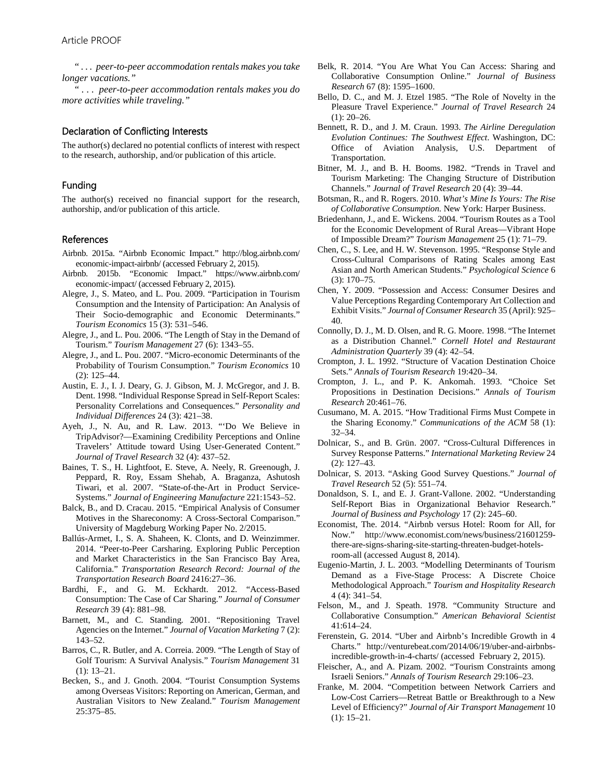*" . . . peer-to-peer accommodation rentals makes you take longer vacations."*

*" . . . peer-to-peer accommodation rentals makes you do more activities while traveling."*

#### Declaration of Conflicting Interests

The author(s) declared no potential conflicts of interest with respect to the research, authorship, and/or publication of this article.

#### Funding

The author(s) received no financial support for the research, authorship, and/or publication of this article.

#### References

- Airbnb. 2015a. "Airbnb Economic Impact." http://blog.airbnb.com/ economic-impact-airbnb/ (accessed February 2, 2015).
- Airbnb. 2015b. "Economic Impact." https://www.airbnb.com/ economic-impact/ (accessed February 2, 2015).
- Alegre, J., S. Mateo, and L. Pou. 2009. "Participation in Tourism Consumption and the Intensity of Participation: An Analysis of Their Socio-demographic and Economic Determinants." *Tourism Economics* 15 (3): 531–546.
- Alegre, J., and L. Pou. 2006. "The Length of Stay in the Demand of Tourism." *Tourism Management* 27 (6): 1343–55.
- Alegre, J., and L. Pou. 2007. "Micro-economic Determinants of the Probability of Tourism Consumption." *Tourism Economics* 10 (2): 125–44.
- Austin, E. J., I. J. Deary, G. J. Gibson, M. J. McGregor, and J. B. Dent. 1998. "Individual Response Spread in Self-Report Scales: Personality Correlations and Consequences." *Personality and Individual Differences* 24 (3): 421–38.
- Ayeh, J., N. Au, and R. Law. 2013. "'Do We Believe in TripAdvisor?—Examining Credibility Perceptions and Online Travelers' Attitude toward Using User-Generated Content." *Journal of Travel Research* 32 (4): 437–52.
- Baines, T. S., H. Lightfoot, E. Steve, A. Neely, R. Greenough, J. Peppard, R. Roy, Essam Shehab, A. Braganza, Ashutosh Tiwari, et al. 2007. "State-of-the-Art in Product Service-Systems." *Journal of Engineering Manufacture* 221:1543–52.
- Balck, B., and D. Cracau. 2015. "Empirical Analysis of Consumer Motives in the Shareconomy: A Cross-Sectoral Comparison." University of Magdeburg Working Paper No. 2/2015.
- Ballús-Armet, I., S. A. Shaheen, K. Clonts, and D. Weinzimmer. 2014. "Peer-to-Peer Carsharing. Exploring Public Perception and Market Characteristics in the San Francisco Bay Area, California." *Transportation Research Record: Journal of the Transportation Research Board* 2416:27–36.
- Bardhi, F., and G. M. Eckhardt. 2012. "Access-Based Consumption: The Case of Car Sharing." *Journal of Consumer Research* 39 (4): 881–98.
- Barnett, M., and C. Standing. 2001. "Repositioning Travel Agencies on the Internet." *Journal of Vacation Marketing* 7 (2): 143–52.
- Barros, C., R. Butler, and A. Correia. 2009. "The Length of Stay of Golf Tourism: A Survival Analysis." *Tourism Management* 31 (1): 13–21.
- Becken, S., and J. Gnoth. 2004. "Tourist Consumption Systems among Overseas Visitors: Reporting on American, German, and Australian Visitors to New Zealand." *Tourism Management* 25:375–85.
- Belk, R. 2014. "You Are What You Can Access: Sharing and Collaborative Consumption Online." *Journal of Business Research* 67 (8): 1595–1600.
- Bello, D. C., and M. J. Etzel 1985. "The Role of Novelty in the Pleasure Travel Experience." *Journal of Travel Research* 24  $(1)$ : 20–26.
- Bennett, R. D., and J. M. Craun. 1993. *The Airline Deregulation Evolution Continues: The Southwest Effect*. Washington, DC: Office of Aviation Analysis, U.S. Department of Transportation.
- Bitner, M. J., and B. H. Booms. 1982. "Trends in Travel and Tourism Marketing: The Changing Structure of Distribution Channels." *Journal of Travel Research* 20 (4): 39–44.
- Botsman, R., and R. Rogers. 2010. *What's Mine Is Yours: The Rise of Collaborative Consumption*. New York: Harper Business.
- Briedenhann, J., and E. Wickens. 2004. "Tourism Routes as a Tool for the Economic Development of Rural Areas—Vibrant Hope of Impossible Dream?" *Tourism Management* 25 (1): 71–79.
- Chen, C., S. Lee, and H. W. Stevenson. 1995. "Response Style and Cross-Cultural Comparisons of Rating Scales among East Asian and North American Students." *Psychological Science* 6 (3): 170–75.
- Chen, Y. 2009. "Possession and Access: Consumer Desires and Value Perceptions Regarding Contemporary Art Collection and Exhibit Visits." *Journal of Consumer Research* 35 (April): 925– 40.
- Connolly, D. J., M. D. Olsen, and R. G. Moore. 1998. "The Internet as a Distribution Channel." *Cornell Hotel and Restaurant Administration Quarterly* 39 (4): 42–54.
- Crompton, J. L. 1992. "Structure of Vacation Destination Choice Sets." *Annals of Tourism Research* 19:420–34.
- Crompton, J. L., and P. K. Ankomah. 1993. "Choice Set Propositions in Destination Decisions." *Annals of Tourism Research* 20:461–76.
- Cusumano, M. A. 2015. "How Traditional Firms Must Compete in the Sharing Economy." *Communications of the ACM* 58 (1): 32–34.
- Dolnicar, S., and B. Grün. 2007. "Cross-Cultural Differences in Survey Response Patterns." *International Marketing Review* 24 (2): 127–43.
- Dolnicar, S. 2013. "Asking Good Survey Questions." *Journal of Travel Research* 52 (5): 551–74.
- Donaldson, S. I., and E. J. Grant-Vallone. 2002. "Understanding Self-Report Bias in Organizational Behavior Research." *Journal of Business and Psychology* 17 (2): 245–60.
- Economist, The. 2014. "Airbnb versus Hotel: Room for All, for Now." http://www.economist.com/news/business/21601259 there-are-signs-sharing-site-starting-threaten-budget-hotelsroom-all (accessed August 8, 2014).
- Eugenio-Martin, J. L. 2003. "Modelling Determinants of Tourism Demand as a Five-Stage Process: A Discrete Choice Methodological Approach." *Tourism and Hospitality Research* 4 (4): 341–54.
- Felson, M., and J. Speath. 1978. "Community Structure and Collaborative Consumption." *American Behavioral Scientist* 41:614–24.
- Ferenstein, G. 2014. "Uber and Airbnb's Incredible Growth in 4 Charts." http://venturebeat.com/2014/06/19/uber-and-airbnbsincredible-growth-in-4-charts/ (accessed February 2, 2015).
- Fleischer, A., and A. Pizam. 2002. "Tourism Constraints among Israeli Seniors." *Annals of Tourism Research* 29:106–23.
- Franke, M. 2004. "Competition between Network Carriers and Low-Cost Carriers—Retreat Battle or Breakthrough to a New Level of Efficiency?" *Journal of Air Transport Management* 10 (1): 15–21.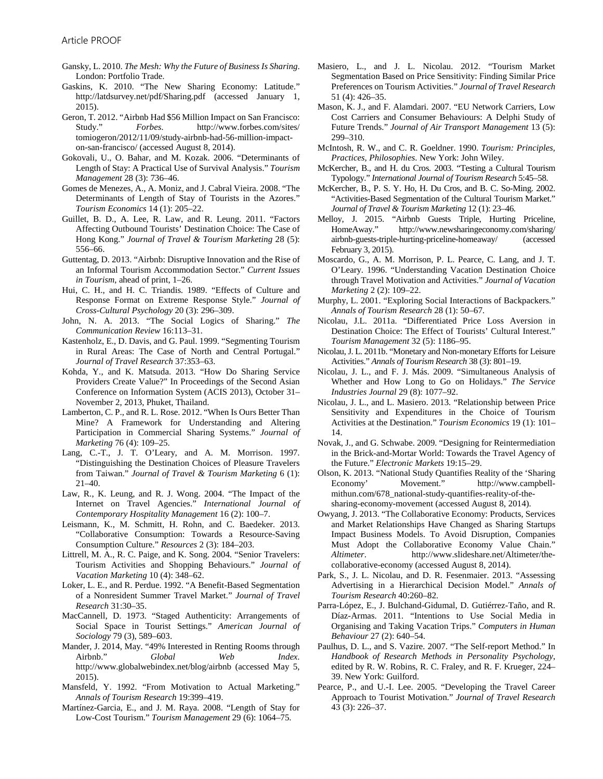- Gansky, L. 2010. *The Mesh: Why the Future of Business Is Sharing*. London: Portfolio Trade.
- Gaskins, K. 2010. "The New Sharing Economy: Latitude." http://latdsurvey.net/pdf/Sharing.pdf (accessed January 1, 2015).
- Geron, T. 2012. "Airbnb Had \$56 Million Impact on San Francisco: Study." *Forbes*. http://www.forbes.com/sites/ tomiogeron/2012/11/09/study-airbnb-had-56-million-impacton-san-francisco/ (accessed August 8, 2014).
- Gokovali, U., O. Bahar, and M. Kozak. 2006. "Determinants of Length of Stay: A Practical Use of Survival Analysis." *Tourism Management* 28 (3): 736–46.
- Gomes de Menezes, A., A. Moniz, and J. Cabral Vieira. 2008. "The Determinants of Length of Stay of Tourists in the Azores." *Tourism Economics* 14 (1): 205–22.
- Guillet, B. D., A. Lee, R. Law, and R. Leung. 2011. "Factors Affecting Outbound Tourists' Destination Choice: The Case of Hong Kong." *Journal of Travel & Tourism Marketing* 28 (5): 556–66.
- Guttentag, D. 2013. "Airbnb: Disruptive Innovation and the Rise of an Informal Tourism Accommodation Sector." *Current Issues in Tourism*, ahead of print, 1–26.
- Hui, C. H., and H. C. Triandis. 1989. "Effects of Culture and Response Format on Extreme Response Style." *Journal of Cross-Cultural Psychology* 20 (3): 296–309.
- John, N. A. 2013. "The Social Logics of Sharing." *The Communication Review* 16:113–31.
- Kastenholz, E., D. Davis, and G. Paul. 1999. "Segmenting Tourism in Rural Areas: The Case of North and Central Portugal." *Journal of Travel Research* 37:353–63.
- Kohda, Y., and K. Matsuda. 2013. "How Do Sharing Service Providers Create Value?" In Proceedings of the Second Asian Conference on Information System (ACIS 2013), October 31– November 2, 2013, Phuket, Thailand.
- Lamberton, C. P., and R. L. Rose. 2012. "When Is Ours Better Than Mine? A Framework for Understanding and Altering Participation in Commercial Sharing Systems." *Journal of Marketing* 76 (4): 109–25.
- Lang, C.-T., J. T. O'Leary, and A. M. Morrison. 1997. "Distinguishing the Destination Choices of Pleasure Travelers from Taiwan." *Journal of Travel & Tourism Marketing* 6 (1): 21–40.
- Law, R., K. Leung, and R. J. Wong. 2004. "The Impact of the Internet on Travel Agencies." *International Journal of Contemporary Hospitality Management* 16 (2): 100–7.
- Leismann, K., M. Schmitt, H. Rohn, and C. Baedeker. 2013. "Collaborative Consumption: Towards a Resource-Saving Consumption Culture." *Resources* 2 (3): 184–203.
- Littrell, M. A., R. C. Paige, and K. Song. 2004. "Senior Travelers: Tourism Activities and Shopping Behaviours." *Journal of Vacation Marketing* 10 (4): 348–62.
- Loker, L. E., and R. Perdue. 1992. "A Benefit-Based Segmentation of a Nonresident Summer Travel Market." *Journal of Travel Research* 31:30–35.
- MacCannell, D. 1973. "Staged Authenticity: Arrangements of Social Space in Tourist Settings." *American Journal of Sociology* 79 (3), 589–603.
- Mander, J. 2014, May. "49% Interested in Renting Rooms through Airbnb." *Global Web Index*. http://www.globalwebindex.net/blog/airbnb (accessed May 5, 2015).
- Mansfeld, Y. 1992. "From Motivation to Actual Marketing." *Annals of Tourism Research* 19:399–419.
- Martínez-Garcia, E., and J. M. Raya. 2008. "Length of Stay for Low-Cost Tourism." *Tourism Management* 29 (6): 1064–75.
- Masiero, L., and J. L. Nicolau. 2012. "Tourism Market Segmentation Based on Price Sensitivity: Finding Similar Price Preferences on Tourism Activities." *Journal of Travel Research* 51 (4): 426–35.
- Mason, K. J., and F. Alamdari. 2007. "EU Network Carriers, Low Cost Carriers and Consumer Behaviours: A Delphi Study of Future Trends." *Journal of Air Transport Management* 13 (5): 299–310.
- McIntosh, R. W., and C. R. Goeldner. 1990. *Tourism: Principles, Practices, Philosophies*. New York: John Wiley.
- McKercher, B., and H. du Cros. 2003. "Testing a Cultural Tourism Typology." *International Journal of Tourism Research* 5:45–58.
- McKercher, B., P. S. Y. Ho, H. Du Cros, and B. C. So-Ming. 2002. "Activities-Based Segmentation of the Cultural Tourism Market." *Journal of Travel & Tourism Marketing* 12 (1): 23–46.
- Melloy, J. 2015. "Airbnb Guests Triple, Hurting Priceline, HomeAway." http://www.newsharingeconomy.com/sharing/ airbnb-guests-triple-hurting-priceline-homeaway/ (accessed February 3, 2015).
- Moscardo, G., A. M. Morrison, P. L. Pearce, C. Lang, and J. T. O'Leary. 1996. "Understanding Vacation Destination Choice through Travel Motivation and Activities." *Journal of Vacation Marketing* 2 (2): 109–22.
- Murphy, L. 2001. "Exploring Social Interactions of Backpackers." *Annals of Tourism Research* 28 (1): 50–67.
- Nicolau, J.L. 2011a. "Differentiated Price Loss Aversion in Destination Choice: The Effect of Tourists' Cultural Interest." *Tourism Management* 32 (5): 1186–95.
- Nicolau, J. L. 2011b. "Monetary and Non-monetary Efforts for Leisure Activities." *Annals of Tourism Research* 38 (3): 801–19.
- Nicolau, J. L., and F. J. Más. 2009. "Simultaneous Analysis of Whether and How Long to Go on Holidays." *The Service Industries Journal* 29 (8): 1077–92.
- Nicolau, J. L., and L. Masiero. 2013. "Relationship between Price Sensitivity and Expenditures in the Choice of Tourism Activities at the Destination." *Tourism Economics* 19 (1): 101– 14.
- Novak, J., and G. Schwabe. 2009. "Designing for Reintermediation in the Brick-and-Mortar World: Towards the Travel Agency of the Future." *Electronic Markets* 19:15–29.
- Olson, K. 2013. "National Study Quantifies Reality of the 'Sharing Economy' Movement." http://www.campbellmithun.com/678\_national-study-quantifies-reality-of-thesharing-economy-movement (accessed August 8, 2014).
- Owyang, J. 2013. "The Collaborative Economy: Products, Services and Market Relationships Have Changed as Sharing Startups Impact Business Models. To Avoid Disruption, Companies Must Adopt the Collaborative Economy Value Chain." *Altimeter*. http://www.slideshare.net/Altimeter/thecollaborative-economy (accessed August 8, 2014).
- Park, S., J. L. Nicolau, and D. R. Fesenmaier. 2013. "Assessing Advertising in a Hierarchical Decision Model." *Annals of Tourism Research* 40:260–82.
- Parra-López, E., J. Bulchand-Gidumal, D. Gutiérrez-Taño, and R. Díaz-Armas. 2011. "Intentions to Use Social Media in Organising and Taking Vacation Trips." *Computers in Human Behaviour* 27 (2): 640–54.
- Paulhus, D. L., and S. Vazire. 2007. "The Self-report Method." In *Handbook of Research Methods in Personality Psychology*, edited by R. W. Robins, R. C. Fraley, and R. F. Krueger, 224– 39. New York: Guilford.
- Pearce, P., and U.-I. Lee. 2005. "Developing the Travel Career Approach to Tourist Motivation." *Journal of Travel Research* 43 (3): 226–37.